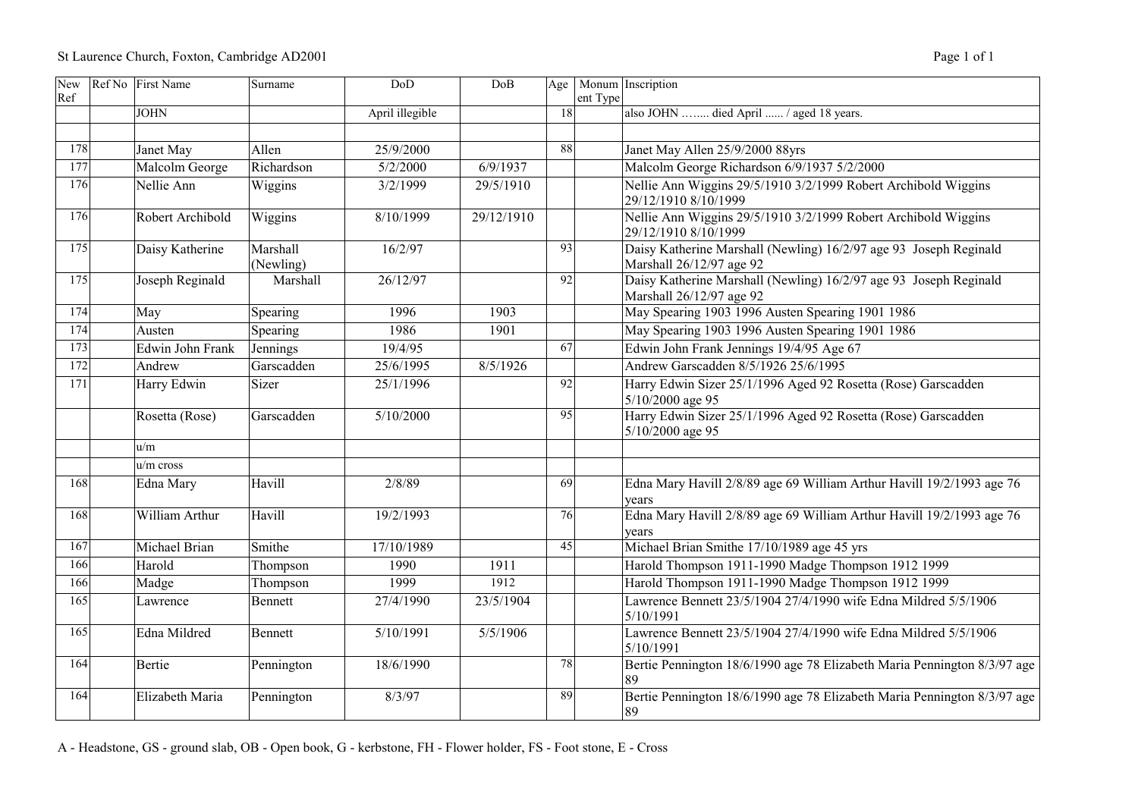| <b>New</b><br>Ref | Ref No First Name | Surname               | DoD             | DoB        | Age             | ent Type | Monum Inscription                                                                             |
|-------------------|-------------------|-----------------------|-----------------|------------|-----------------|----------|-----------------------------------------------------------------------------------------------|
|                   | <b>JOHN</b>       |                       | April illegible |            | 18              |          | also JOHN  died April  / aged 18 years.                                                       |
|                   |                   |                       |                 |            |                 |          |                                                                                               |
| 178               | Janet May         | Allen                 | 25/9/2000       |            | 88              |          | Janet May Allen 25/9/2000 88yrs                                                               |
| 177               | Malcolm George    | Richardson            | 5/2/2000        | 6/9/1937   |                 |          | Malcolm George Richardson 6/9/1937 5/2/2000                                                   |
| 176               | Nellie Ann        | Wiggins               | 3/2/1999        | 29/5/1910  |                 |          | Nellie Ann Wiggins 29/5/1910 3/2/1999 Robert Archibold Wiggins<br>29/12/1910 8/10/1999        |
| 176               | Robert Archibold  | Wiggins               | 8/10/1999       | 29/12/1910 |                 |          | Nellie Ann Wiggins 29/5/1910 3/2/1999 Robert Archibold Wiggins<br>29/12/1910 8/10/1999        |
| 175               | Daisy Katherine   | Marshall<br>(Newling) | 16/2/97         |            | 93              |          | Daisy Katherine Marshall (Newling) 16/2/97 age 93 Joseph Reginald<br>Marshall 26/12/97 age 92 |
| 175               | Joseph Reginald   | Marshall              | 26/12/97        |            | 92              |          | Daisy Katherine Marshall (Newling) 16/2/97 age 93 Joseph Reginald<br>Marshall 26/12/97 age 92 |
| 174               | May               | Spearing              | 1996            | 1903       |                 |          | May Spearing 1903 1996 Austen Spearing 1901 1986                                              |
| 174               | Austen            | Spearing              | 1986            | 1901       |                 |          | May Spearing 1903 1996 Austen Spearing 1901 1986                                              |
| 173               | Edwin John Frank  | Jennings              | 19/4/95         |            | 67              |          | Edwin John Frank Jennings 19/4/95 Age 67                                                      |
| 172               | Andrew            | Garscadden            | 25/6/1995       | 8/5/1926   |                 |          | Andrew Garscadden 8/5/1926 25/6/1995                                                          |
| 171               | Harry Edwin       | Sizer                 | 25/1/1996       |            | $\overline{92}$ |          | Harry Edwin Sizer 25/1/1996 Aged 92 Rosetta (Rose) Garscadden<br>5/10/2000 age 95             |
|                   | Rosetta (Rose)    | Garscadden            | 5/10/2000       |            | 95              |          | Harry Edwin Sizer 25/1/1996 Aged 92 Rosetta (Rose) Garscadden<br>5/10/2000 age 95             |
|                   | u/m               |                       |                 |            |                 |          |                                                                                               |
|                   | u/m cross         |                       |                 |            |                 |          |                                                                                               |
| 168               | Edna Mary         | Havill                | 2/8/89          |            | 69              |          | Edna Mary Havill 2/8/89 age 69 William Arthur Havill 19/2/1993 age 76<br>vears                |
| 168               | William Arthur    | Havill                | 19/2/1993       |            | 76              |          | Edna Mary Havill 2/8/89 age 69 William Arthur Havill 19/2/1993 age 76<br>vears                |
| 167               | Michael Brian     | Smithe                | 17/10/1989      |            | 45              |          | Michael Brian Smithe 17/10/1989 age 45 yrs                                                    |
| 166               | Harold            | Thompson              | 1990            | 1911       |                 |          | Harold Thompson 1911-1990 Madge Thompson 1912 1999                                            |
| 166               | Madge             | Thompson              | 1999            | 1912       |                 |          | Harold Thompson 1911-1990 Madge Thompson 1912 1999                                            |
| 165               | Lawrence          | <b>Bennett</b>        | 27/4/1990       | 23/5/1904  |                 |          | Lawrence Bennett 23/5/1904 27/4/1990 wife Edna Mildred 5/5/1906<br>5/10/1991                  |
| 165               | Edna Mildred      | <b>Bennett</b>        | 5/10/1991       | 5/5/1906   |                 |          | Lawrence Bennett 23/5/1904 27/4/1990 wife Edna Mildred 5/5/1906<br>5/10/1991                  |
| 164               | Bertie            | Pennington            | 18/6/1990       |            | 78              |          | Bertie Pennington 18/6/1990 age 78 Elizabeth Maria Pennington 8/3/97 age<br>89                |
| 164               | Elizabeth Maria   | Pennington            | 8/3/97          |            | 89              |          | Bertie Pennington 18/6/1990 age 78 Elizabeth Maria Pennington 8/3/97 age<br>89                |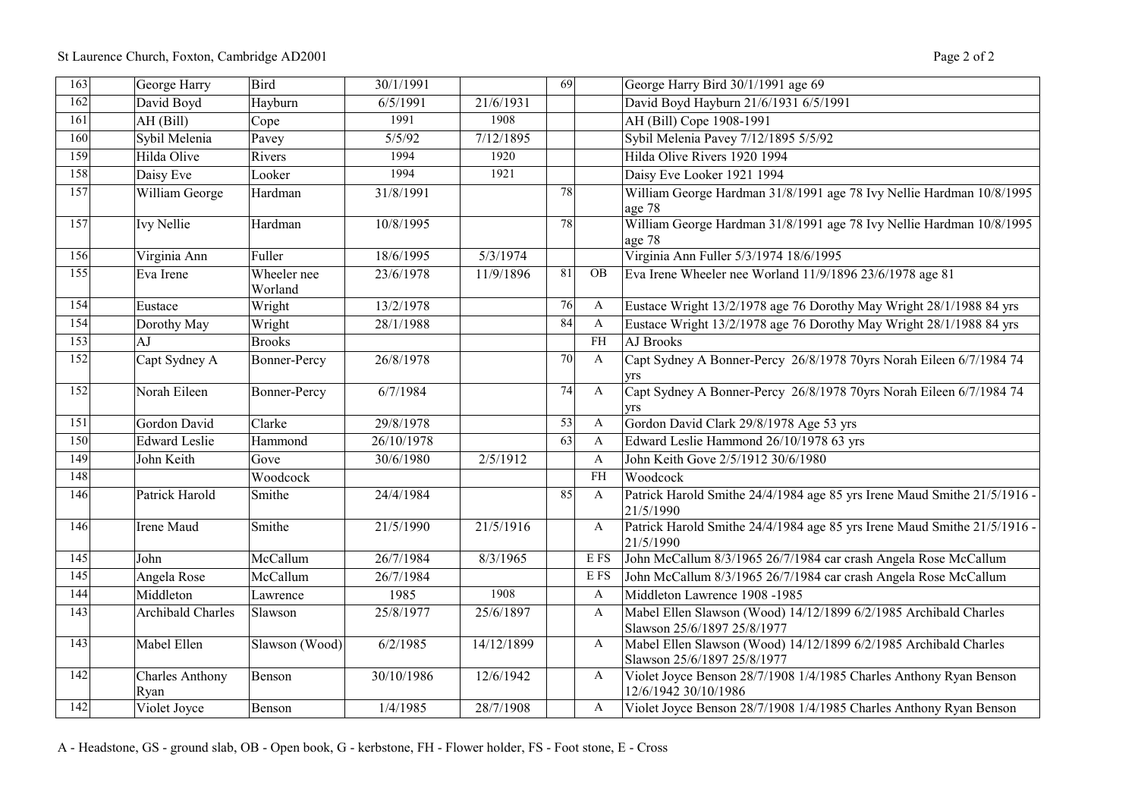| 163              | George Harry             | Bird                   | 30/1/1991  |                      | 69              |                 | George Harry Bird 30/1/1991 age 69                                                              |
|------------------|--------------------------|------------------------|------------|----------------------|-----------------|-----------------|-------------------------------------------------------------------------------------------------|
| 162              | David Boyd               | Hayburn                | 6/5/1991   | 21/6/1931            |                 |                 | David Boyd Hayburn 21/6/1931 6/5/1991                                                           |
| 161              | $AH$ (Bill)              | $\overline{C}$ ope     | 1991       | 1908                 |                 |                 | AH (Bill) Cope 1908-1991                                                                        |
| 160              | Sybil Melenia            | Pavey                  | 5/5/92     | $\frac{7}{12}{1895}$ |                 |                 | Sybil Melenia Pavey 7/12/1895 5/5/92                                                            |
| 159              | Hilda Olive              | Rivers                 | 1994       | 1920                 |                 |                 | Hilda Olive Rivers 1920 1994                                                                    |
| 158              | Daisy Eve                | Looker                 | 1994       | 1921                 |                 |                 | Daisy Eve Looker 1921 1994                                                                      |
| 157              | William George           | Hardman                | 31/8/1991  |                      | 78              |                 | William George Hardman 31/8/1991 age 78 Ivy Nellie Hardman 10/8/1995<br>age 78                  |
| 157              | <b>Ivy Nellie</b>        | Hardman                | 10/8/1995  |                      | 78              |                 | William George Hardman 31/8/1991 age 78 Ivy Nellie Hardman 10/8/1995<br>age 78                  |
| 156              | Virginia Ann             | Fuller                 | 18/6/1995  | 5/3/1974             |                 |                 | Virginia Ann Fuller 5/3/1974 18/6/1995                                                          |
| 155              | Eva Irene                | Wheeler nee<br>Worland | 23/6/1978  | 11/9/1896            | 81              | <b>OB</b>       | Eva Irene Wheeler nee Worland 11/9/1896 23/6/1978 age 81                                        |
| 154              | Eustace                  | Wright                 | 13/2/1978  |                      | $\overline{76}$ | A               | Eustace Wright 13/2/1978 age 76 Dorothy May Wright 28/1/1988 84 yrs                             |
| 154              | Dorothy May              | Wright                 | 28/1/1988  |                      | 84              | $\mathbf{A}$    | Eustace Wright 13/2/1978 age 76 Dorothy May Wright 28/1/1988 84 yrs                             |
| 153              | AJ                       | <b>Brooks</b>          |            |                      |                 | <b>FH</b>       | AJ Brooks                                                                                       |
| 152              | Capt Sydney A            | <b>Bonner-Percy</b>    | 26/8/1978  |                      | $\overline{70}$ | $\mathbf{A}$    | Capt Sydney A Bonner-Percy 26/8/1978 70yrs Norah Eileen 6/7/1984 74<br><b>Vrs</b>               |
| 152              | Norah Eileen             | <b>Bonner-Percy</b>    | 6/7/1984   |                      | 74              | A               | Capt Sydney A Bonner-Percy 26/8/1978 70yrs Norah Eileen 6/7/1984 74                             |
| 151              | Gordon David             | Clarke                 | 29/8/1978  |                      | 53              | A               | Gordon David Clark 29/8/1978 Age 53 yrs                                                         |
| 150              | <b>Edward Leslie</b>     | Hammond                | 26/10/1978 |                      | 63              | A               | Edward Leslie Hammond 26/10/1978 63 yrs                                                         |
| 149              | John Keith               | Gove                   | 30/6/1980  | 2/5/1912             |                 | A               | John Keith Gove 2/5/1912 30/6/1980                                                              |
| 148              |                          | Woodcock               |            |                      |                 | $\overline{FH}$ | Woodcock                                                                                        |
| 146              | Patrick Harold           | Smithe                 | 24/4/1984  |                      | 85              | $\mathbf{A}$    | Patrick Harold Smithe 24/4/1984 age 85 yrs Irene Maud Smithe 21/5/1916 -<br>21/5/1990           |
| 146              | Irene Maud               | Smithe                 | 21/5/1990  | 21/5/1916            |                 | A               | Patrick Harold Smithe 24/4/1984 age 85 yrs Irene Maud Smithe 21/5/1916 -<br>21/5/1990           |
| $\overline{145}$ | John                     | McCallum               | 26/7/1984  | 8/3/1965             |                 | E FS            | John McCallum 8/3/1965 26/7/1984 car crash Angela Rose McCallum                                 |
| 145              | Angela Rose              | McCallum               | 26/7/1984  |                      |                 | E FS            | John McCallum 8/3/1965 26/7/1984 car crash Angela Rose McCallum                                 |
| 144              | Middleton                | Lawrence               | 1985       | 1908                 |                 | A               | Middleton Lawrence 1908 -1985                                                                   |
| 143              | <b>Archibald Charles</b> | Slawson                | 25/8/1977  | 25/6/1897            |                 | A               | Mabel Ellen Slawson (Wood) 14/12/1899 6/2/1985 Archibald Charles<br>Slawson 25/6/1897 25/8/1977 |
| 143              | Mabel Ellen              | Slawson (Wood)         | 6/2/1985   | 14/12/1899           |                 | $\mathbf{A}$    | Mabel Ellen Slawson (Wood) 14/12/1899 6/2/1985 Archibald Charles<br>Slawson 25/6/1897 25/8/1977 |
| 142              | Charles Anthony<br>Ryan  | Benson                 | 30/10/1986 | 12/6/1942            |                 | A               | Violet Joyce Benson 28/7/1908 1/4/1985 Charles Anthony Ryan Benson<br>12/6/1942 30/10/1986      |
| 142              | Violet Joyce             | Benson                 | 1/4/1985   | 28/7/1908            |                 | A               | Violet Joyce Benson 28/7/1908 1/4/1985 Charles Anthony Ryan Benson                              |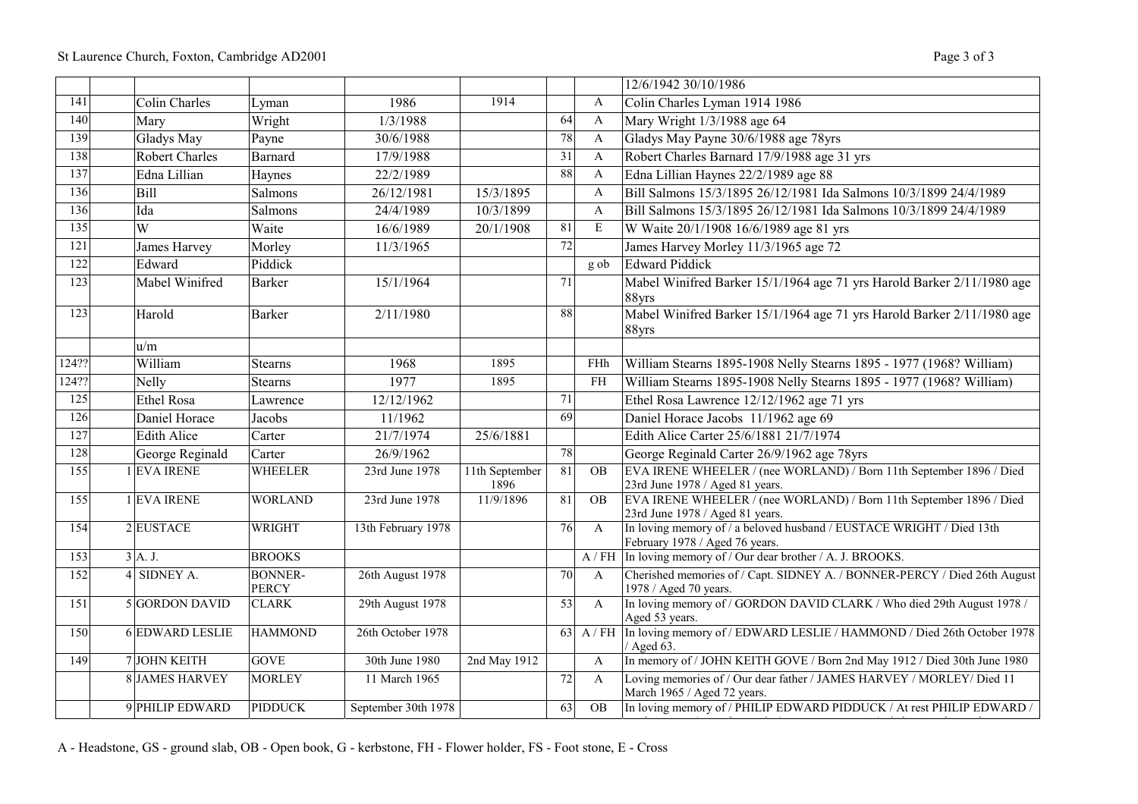|       |                        |                |                     |                |                 |                 | 12/6/1942 30/10/1986                                                                                    |
|-------|------------------------|----------------|---------------------|----------------|-----------------|-----------------|---------------------------------------------------------------------------------------------------------|
| 141   | <b>Colin Charles</b>   | Lyman          | 1986                | 1914           |                 | A               | Colin Charles Lyman 1914 1986                                                                           |
| 140   | Mary                   | Wright         | 1/3/1988            |                | 64              | A               | Mary Wright 1/3/1988 age 64                                                                             |
| 139   | Gladys May             | Payne          | 30/6/1988           |                | 78              | $\mathbf{A}$    | Gladys May Payne 30/6/1988 age 78yrs                                                                    |
| 138   | <b>Robert Charles</b>  | Barnard        | 17/9/1988           |                | $\overline{31}$ | $\mathbf{A}$    | Robert Charles Barnard 17/9/1988 age 31 yrs                                                             |
| 137   | Edna Lillian           | Haynes         | 22/2/1989           |                | 88              | A               | Edna Lillian Haynes 22/2/1989 age 88                                                                    |
| 136   | Bill                   | Salmons        | 26/12/1981          | 15/3/1895      |                 | A               | Bill Salmons 15/3/1895 26/12/1981 Ida Salmons 10/3/1899 24/4/1989                                       |
| 136   | Ida                    | Salmons        | 24/4/1989           | 10/3/1899      |                 | A               | Bill Salmons 15/3/1895 26/12/1981 Ida Salmons 10/3/1899 24/4/1989                                       |
| 135   | W                      | Waite          | 16/6/1989           | 20/1/1908      | 81              | $\mathbf E$     | W Waite 20/1/1908 16/6/1989 age 81 yrs                                                                  |
| 121   | James Harvey           | Morley         | 11/3/1965           |                | 72              |                 | James Harvey Morley 11/3/1965 age 72                                                                    |
| 122   | Edward                 | Piddick        |                     |                |                 | $g \circ b$     | <b>Edward Piddick</b>                                                                                   |
| 123   | Mabel Winifred         | <b>Barker</b>  | 15/1/1964           |                | 71              |                 | Mabel Winifred Barker 15/1/1964 age 71 yrs Harold Barker 2/11/1980 age                                  |
|       |                        |                |                     |                |                 |                 | 88yrs                                                                                                   |
| 123   | Harold                 | <b>Barker</b>  | 2/11/1980           |                | 88              |                 | Mabel Winifred Barker 15/1/1964 age 71 yrs Harold Barker 2/11/1980 age                                  |
|       |                        |                |                     |                |                 |                 | 88yrs                                                                                                   |
|       | u/m                    |                |                     |                |                 |                 |                                                                                                         |
| 124?? | William                | Stearns        | 1968                | 1895           |                 | FHh             | William Stearns 1895-1908 Nelly Stearns 1895 - 1977 (1968? William)                                     |
| 124?? | Nelly                  | <b>Stearns</b> | 1977                | 1895           |                 | <b>FH</b>       | William Stearns 1895-1908 Nelly Stearns 1895 - 1977 (1968? William)                                     |
| 125   | <b>Ethel Rosa</b>      | Lawrence       | 12/12/1962          |                | 71              |                 | Ethel Rosa Lawrence 12/12/1962 age 71 yrs                                                               |
| 126   | Daniel Horace          | Jacobs         | 11/1962             |                | 69              |                 | Daniel Horace Jacobs 11/1962 age 69                                                                     |
| 127   | <b>Edith Alice</b>     | Carter         | 21/7/1974           | 25/6/1881      |                 |                 | Edith Alice Carter 25/6/1881 21/7/1974                                                                  |
| 128   | George Reginald        | Carter         | 26/9/1962           |                | 78              |                 | George Reginald Carter 26/9/1962 age 78yrs                                                              |
| 155   | 1 EVA IRENE            | <b>WHEELER</b> | 23rd June 1978      | 11th September | 81              | <b>OB</b>       | EVA IRENE WHEELER / (nee WORLAND) / Born 11th September 1896 / Died                                     |
|       |                        |                |                     | 1896           |                 |                 | 23rd June 1978 / Aged 81 years.                                                                         |
| 155   | 1 EVA IRENE            | <b>WORLAND</b> | 23rd June 1978      | 11/9/1896      | 81              | $\overline{OB}$ | EVA IRENE WHEELER / (nee WORLAND) / Born 11th September 1896 / Died                                     |
| 154   | 2 EUSTACE              | <b>WRIGHT</b>  | 13th February 1978  |                | 76              | $\mathbf{A}$    | 23rd June 1978 / Aged 81 years.<br>In loving memory of / a beloved husband / EUSTACE WRIGHT / Died 13th |
|       |                        |                |                     |                |                 |                 | February 1978 / Aged 76 years.                                                                          |
| 153   | 3 A. J.                | <b>BROOKS</b>  |                     |                |                 | A / FH          | In loving memory of / Our dear brother / A. J. BROOKS.                                                  |
| 152   | 4 SIDNEY A.            | <b>BONNER-</b> | 26th August 1978    |                | 70              | $\mathbf{A}$    | Cherished memories of / Capt. SIDNEY A. / BONNER-PERCY / Died 26th August                               |
|       |                        | <b>PERCY</b>   |                     |                |                 |                 | 1978 / Aged 70 years.                                                                                   |
| 151   | 5 GORDON DAVID         | <b>CLARK</b>   | 29th August 1978    |                | 53              | $\mathbf{A}$    | In loving memory of / GORDON DAVID CLARK / Who died 29th August 1978 /                                  |
| 150   | <b>6 EDWARD LESLIE</b> | <b>HAMMOND</b> | 26th October 1978   |                |                 | $63$ A/FH       | Aged 53 years.<br>In loving memory of / EDWARD LESLIE / HAMMOND / Died 26th October 1978                |
|       |                        |                |                     |                |                 |                 | Aged 63.                                                                                                |
| 149   | 7 JOHN KEITH           | <b>GOVE</b>    | 30th June 1980      | 2nd May 1912   |                 | $\mathbf{A}$    | In memory of / JOHN KEITH GOVE / Born 2nd May 1912 / Died 30th June 1980                                |
|       | <b>8 JAMES HARVEY</b>  | <b>MORLEY</b>  | 11 March 1965       |                | 72              | $\mathbf{A}$    | Loving memories of / Our dear father / JAMES HARVEY / MORLEY/ Died 11                                   |
|       |                        |                |                     |                |                 |                 | March 1965 / Aged 72 years.                                                                             |
|       | 9 PHILIP EDWARD        | <b>PIDDUCK</b> | September 30th 1978 |                | 63              | $\overline{OB}$ | In loving memory of / PHILIP EDWARD PIDDUCK / At rest PHILIP EDWARD /                                   |

d / h i/

 $\mathcal{L}^{\text{max}}$  is the holomorphic binary independent of  $\mathcal{L}^{\text{max}}$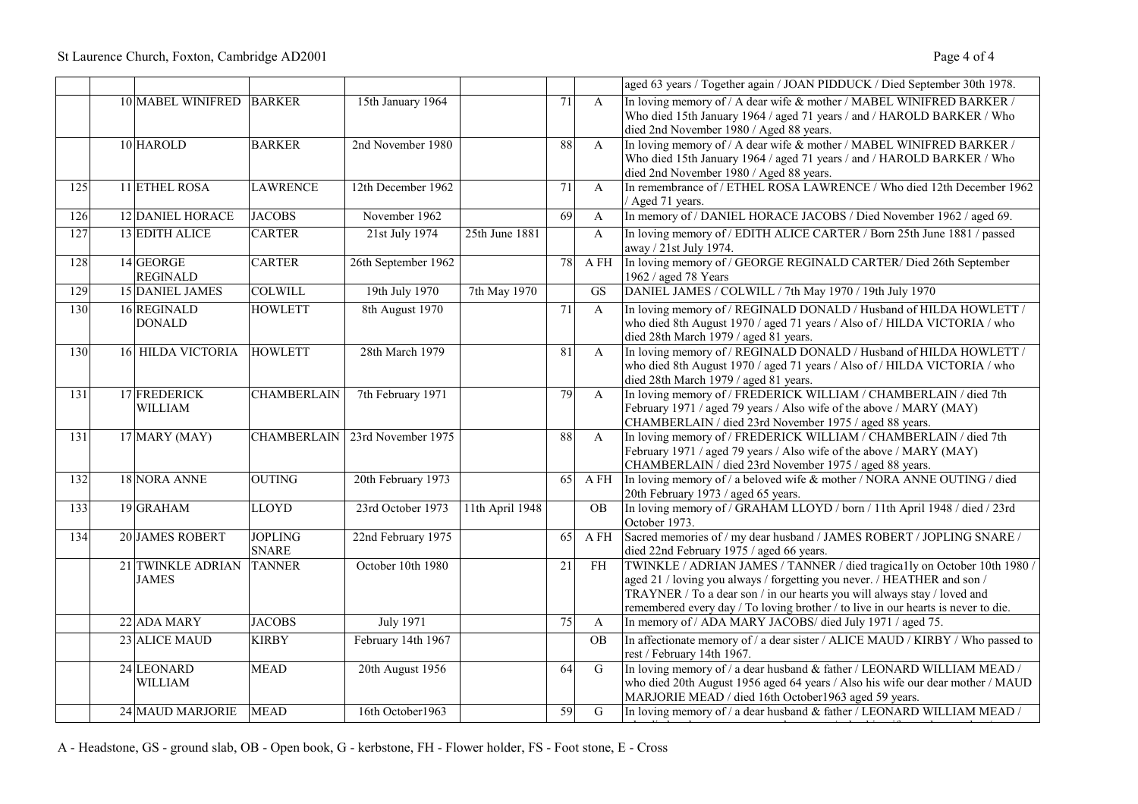h di d h d / l hi if d h /

|     |                                     |                                |                     |                 |                 |              | aged 63 years / Together again / JOAN PIDDUCK / Died September 30th 1978.                                                                                                                                                                                                                                            |
|-----|-------------------------------------|--------------------------------|---------------------|-----------------|-----------------|--------------|----------------------------------------------------------------------------------------------------------------------------------------------------------------------------------------------------------------------------------------------------------------------------------------------------------------------|
|     | 10 MABEL WINIFRED BARKER            |                                | 15th January 1964   |                 | $\overline{71}$ | $\mathbf{A}$ | In loving memory of / A dear wife & mother / MABEL WINIFRED BARKER /<br>Who died 15th January 1964 / aged 71 years / and / HAROLD BARKER / Who<br>died 2nd November 1980 / Aged 88 years.                                                                                                                            |
|     | 10 HAROLD                           | <b>BARKER</b>                  | 2nd November 1980   |                 | 88              | $\mathbf{A}$ | In loving memory of / A dear wife & mother / MABEL WINIFRED BARKER /<br>Who died 15th January 1964 / aged 71 years / and / HAROLD BARKER / Who<br>died 2nd November 1980 / Aged 88 years.                                                                                                                            |
| 125 | 11 ETHEL ROSA                       | <b>LAWRENCE</b>                | 12th December 1962  |                 | $\overline{71}$ | $\mathbf{A}$ | In remembrance of / ETHEL ROSA LAWRENCE / Who died 12th December 1962<br>/ Aged 71 years.                                                                                                                                                                                                                            |
| 126 | 12 DANIEL HORACE                    | <b>JACOBS</b>                  | November 1962       |                 | 69              | $\mathbf{A}$ | In memory of / DANIEL HORACE JACOBS / Died November 1962 / aged 69.                                                                                                                                                                                                                                                  |
| 127 | <b>13 EDITH ALICE</b>               | <b>CARTER</b>                  | 21st July 1974      | 25th June 1881  |                 | $\mathbf{A}$ | In loving memory of / EDITH ALICE CARTER / Born 25th June 1881 / passed<br>away / 21st July 1974.                                                                                                                                                                                                                    |
| 128 | 14 GEORGE<br><b>REGINALD</b>        | <b>CARTER</b>                  | 26th September 1962 |                 | 78              | A FH         | In loving memory of / GEORGE REGINALD CARTER/ Died 26th September<br>1962 / aged 78 Years                                                                                                                                                                                                                            |
| 129 | <b>15 DANIEL JAMES</b>              | <b>COLWILL</b>                 | 19th July 1970      | 7th May 1970    |                 | <b>GS</b>    | DANIEL JAMES / COLWILL / 7th May 1970 / 19th July 1970                                                                                                                                                                                                                                                               |
| 130 | <b>16 REGINALD</b><br><b>DONALD</b> | <b>HOWLETT</b>                 | 8th August 1970     |                 | 71              | $\mathbf{A}$ | In loving memory of / REGINALD DONALD / Husband of HILDA HOWLETT /<br>who died 8th August 1970 / aged 71 years / Also of / HILDA VICTORIA / who<br>died 28th March 1979 / aged 81 years.                                                                                                                             |
| 130 | <b>16 HILDA VICTORIA</b>            | <b>HOWLETT</b>                 | 28th March 1979     |                 | 81              | $\mathbf{A}$ | In loving memory of / REGINALD DONALD / Husband of HILDA HOWLETT /<br>who died 8th August 1970 / aged 71 years / Also of / HILDA VICTORIA / who<br>died 28th March 1979 / aged 81 years.                                                                                                                             |
| 131 | 17 FREDERICK<br>WILLIAM             | <b>CHAMBERLAIN</b>             | 7th February 1971   |                 | 79              | A            | In loving memory of / FREDERICK WILLIAM / CHAMBERLAIN / died 7th<br>February 1971 / aged 79 years / Also wife of the above / MARY (MAY)<br>CHAMBERLAIN / died 23rd November 1975 / aged 88 years.                                                                                                                    |
| 131 | 17 MARY (MAY)                       | <b>CHAMBERLAIN</b>             | 23rd November 1975  |                 | 88              | $\mathbf{A}$ | In loving memory of / FREDERICK WILLIAM / CHAMBERLAIN / died 7th<br>February 1971 / aged 79 years / Also wife of the above / MARY (MAY)<br>CHAMBERLAIN / died 23rd November 1975 / aged 88 years.                                                                                                                    |
| 132 | <b>18 NORA ANNE</b>                 | <b>OUTING</b>                  | 20th February 1973  |                 | 65              | A FH         | In loving memory of / a beloved wife & mother / NORA ANNE OUTING / died<br>20th February 1973 / aged 65 years.                                                                                                                                                                                                       |
| 133 | 19 GRAHAM                           | <b>LLOYD</b>                   | 23rd October 1973   | 11th April 1948 |                 | <b>OB</b>    | In loving memory of / GRAHAM LLOYD / born / 11th April 1948 / died / 23rd<br>October 1973.                                                                                                                                                                                                                           |
| 134 | <b>20 JAMES ROBERT</b>              | <b>JOPLING</b><br><b>SNARE</b> | 22nd February 1975  |                 | 65              | A FH         | Sacred memories of / my dear husband / JAMES ROBERT / JOPLING SNARE /<br>died 22nd February 1975 / aged 66 years.                                                                                                                                                                                                    |
|     | 21 TWINKLE ADRIAN<br>JAMES          | <b>TANNER</b>                  | October 10th 1980   |                 | 21              | FH           | TWINKLE / ADRIAN JAMES / TANNER / died tragically on October 10th 1980 /<br>aged 21 / loving you always / forgetting you never. / HEATHER and son /<br>TRAYNER / To a dear son / in our hearts you will always stay / loved and<br>remembered every day / To loving brother / to live in our hearts is never to die. |
|     | 22 ADA MARY                         | <b>JACOBS</b>                  | <b>July 1971</b>    |                 | 75              | A            | In memory of / ADA MARY JACOBS/ died July 1971 / aged 75.                                                                                                                                                                                                                                                            |
|     | 23 ALICE MAUD                       | <b>KIRBY</b>                   | February 14th 1967  |                 |                 | <b>OB</b>    | In affectionate memory of / a dear sister / ALICE MAUD / KIRBY / Who passed to<br>rest / February 14th 1967.                                                                                                                                                                                                         |
|     | 24 LEONARD<br>WILLIAM               | <b>MEAD</b>                    | 20th August 1956    |                 | 64              | G            | In loving memory of / a dear husband & father / LEONARD WILLIAM MEAD /<br>who died 20th August 1956 aged 64 years / Also his wife our dear mother / MAUD<br>MARJORIE MEAD / died 16th October1963 aged 59 years.                                                                                                     |
|     | 24 MAUD MARJORIE MEAD               |                                | 16th October1963    |                 | 59              | G            | In loving memory of / a dear husband & father / LEONARD WILLIAM MEAD /                                                                                                                                                                                                                                               |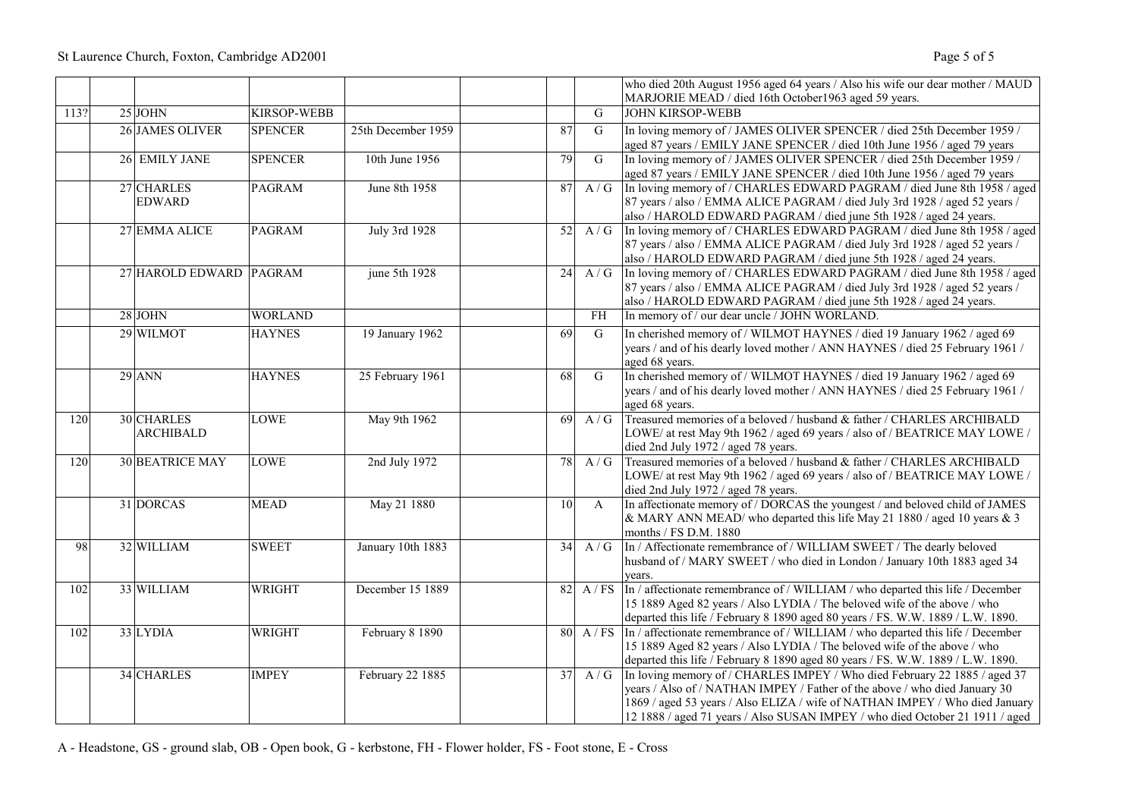|      |                                |                |                    |    |                  | who died 20th August 1956 aged 64 years / Also his wife our dear mother / MAUD<br>MARJORIE MEAD / died 16th October1963 aged 59 years.                                                                                                                                                                                 |
|------|--------------------------------|----------------|--------------------|----|------------------|------------------------------------------------------------------------------------------------------------------------------------------------------------------------------------------------------------------------------------------------------------------------------------------------------------------------|
| 113? | 25 JOHN                        | KIRSOP-WEBB    |                    |    | G                | <b>JOHN KIRSOP-WEBB</b>                                                                                                                                                                                                                                                                                                |
|      | 26 JAMES OLIVER                | <b>SPENCER</b> | 25th December 1959 | 87 | G                | In loving memory of / JAMES OLIVER SPENCER / died 25th December 1959 /<br>aged 87 years / EMILY JANE SPENCER / died 10th June 1956 / aged 79 years                                                                                                                                                                     |
|      | 26 EMILY JANE                  | <b>SPENCER</b> | 10th June 1956     | 79 | G                | In loving memory of / JAMES OLIVER SPENCER / died 25th December 1959 /<br>aged 87 years / EMILY JANE SPENCER / died 10th June 1956 / aged 79 years                                                                                                                                                                     |
|      | 27 CHARLES<br><b>EDWARD</b>    | <b>PAGRAM</b>  | June 8th 1958      | 87 | A/G              | In loving memory of / CHARLES EDWARD PAGRAM / died June 8th 1958 / aged<br>87 years / also / EMMA ALICE PAGRAM / died July 3rd 1928 / aged 52 years /<br>also / HAROLD EDWARD PAGRAM / died june 5th 1928 / aged 24 years.                                                                                             |
|      | 27 EMMA ALICE                  | <b>PAGRAM</b>  | July 3rd 1928      | 52 | A/G              | In loving memory of / CHARLES EDWARD PAGRAM / died June 8th 1958 / aged<br>87 years / also / EMMA ALICE PAGRAM / died July 3rd 1928 / aged 52 years /<br>also / HAROLD EDWARD PAGRAM / died june 5th 1928 / aged 24 years.                                                                                             |
|      | 27 HAROLD EDWARD PAGRAM        |                | june 5th 1928      | 24 | A/G              | In loving memory of / CHARLES EDWARD PAGRAM / died June 8th 1958 / aged<br>87 years / also / EMMA ALICE PAGRAM / died July 3rd 1928 / aged 52 years /<br>also / HAROLD EDWARD PAGRAM / died june 5th 1928 / aged 24 years.                                                                                             |
|      | 28 JOHN                        | <b>WORLAND</b> |                    |    | <b>FH</b>        | In memory of / our dear uncle / JOHN WORLAND.                                                                                                                                                                                                                                                                          |
|      | 29 WILMOT                      | <b>HAYNES</b>  | 19 January 1962    | 69 | G                | In cherished memory of / WILMOT HAYNES / died 19 January 1962 / aged 69<br>years / and of his dearly loved mother / ANN HAYNES / died 25 February 1961 /<br>aged 68 years.                                                                                                                                             |
|      | 29 ANN                         | <b>HAYNES</b>  | 25 February 1961   | 68 | G                | In cherished memory of / WILMOT HAYNES / died 19 January 1962 / aged 69<br>years / and of his dearly loved mother / ANN HAYNES / died 25 February 1961 /<br>aged 68 years.                                                                                                                                             |
| 120  | 30 CHARLES<br><b>ARCHIBALD</b> | <b>LOWE</b>    | May 9th 1962       | 69 | A/G              | Treasured memories of a beloved / husband & father / CHARLES ARCHIBALD<br>LOWE/ at rest May 9th 1962 / aged 69 years / also of / BEATRICE MAY LOWE /<br>died 2nd July 1972 / aged 78 years.                                                                                                                            |
| 120  | 30 BEATRICE MAY                | <b>LOWE</b>    | 2nd July 1972      | 78 | A/G              | Treasured memories of a beloved / husband & father / CHARLES ARCHIBALD<br>LOWE/ at rest May 9th 1962 / aged 69 years / also of / BEATRICE MAY LOWE /<br>died 2nd July 1972 / aged 78 years.                                                                                                                            |
|      | 31 DORCAS                      | <b>MEAD</b>    | May 21 1880        | 10 | $\mathbf{A}$     | In affectionate memory of / DORCAS the youngest / and beloved child of JAMES<br>& MARY ANN MEAD/ who departed this life May 21 1880 / aged 10 years $& 3$<br>months / FS D.M. 1880                                                                                                                                     |
| 98   | 32 WILLIAM                     | <b>SWEET</b>   | January 10th 1883  | 34 | $A/\overline{G}$ | In / Affectionate remembrance of / WILLIAM SWEET / The dearly beloved<br>husband of / MARY SWEET / who died in London / January 10th 1883 aged 34<br>years.                                                                                                                                                            |
| 102  | 33 WILLIAM                     | <b>WRIGHT</b>  | December 15 1889   |    | 82 $A/FS$        | In / affectionate remembrance of / WILLIAM / who departed this life / December<br>15 1889 Aged 82 years / Also LYDIA / The beloved wife of the above / who<br>departed this life / February 8 1890 aged 80 years / FS. W.W. 1889 / L.W. 1890.                                                                          |
| 102  | 33 LYDIA                       | WRIGHT         | February 8 1890    |    | 80 A/FS          | In / affectionate remembrance of / WILLIAM / who departed this life / December<br>15 1889 Aged 82 years / Also LYDIA / The beloved wife of the above / who<br>departed this life / February 8 1890 aged 80 years / FS. W.W. 1889 / L.W. 1890.                                                                          |
|      | 34 CHARLES                     | <b>IMPEY</b>   | February 22 1885   |    | $37$ A/G         | In loving memory of / CHARLES IMPEY / Who died February 22 1885 / aged 37<br>years / Also of / NATHAN IMPEY / Father of the above / who died January 30<br>1869 / aged 53 years / Also ELIZA / wife of NATHAN IMPEY / Who died January<br>12 1888 / aged 71 years / Also SUSAN IMPEY / who died October 21 1911 / aged |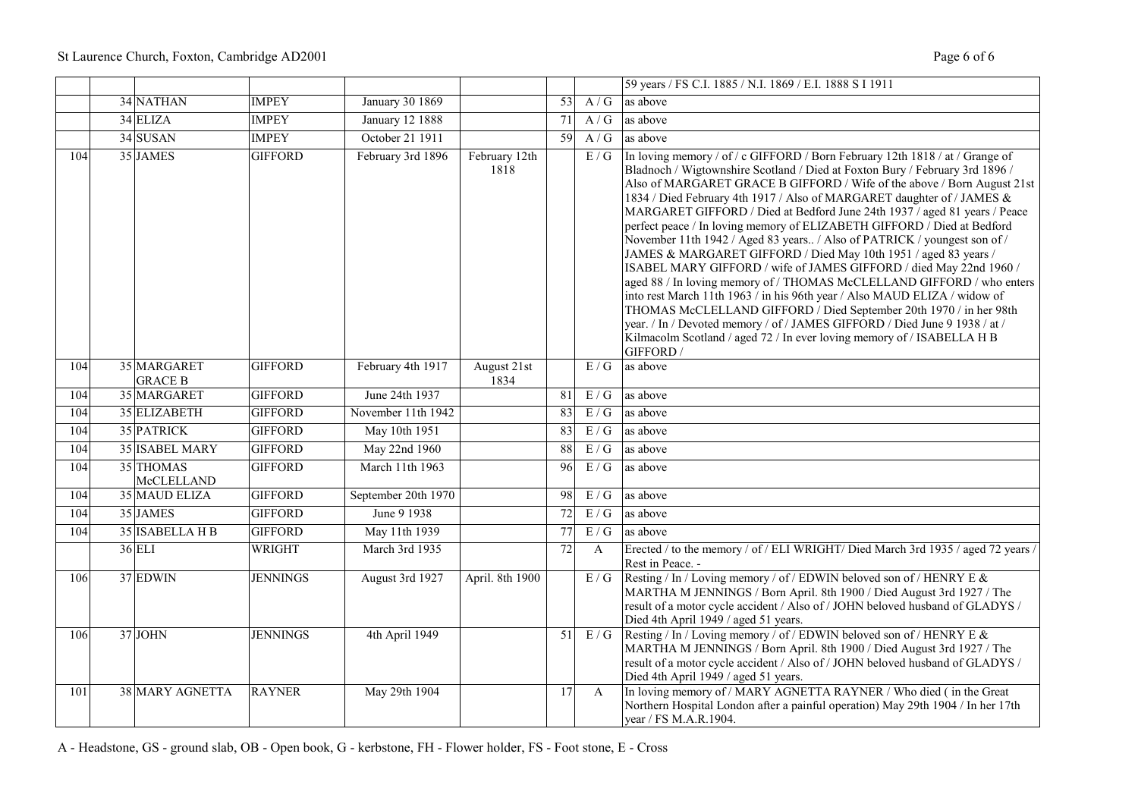|     |                               |                 |                        |                       |                 |                  | 59 years / FS C.I. 1885 / N.I. 1869 / E.I. 1888 S I 1911                                                                                                                                                                                                                                                                                                                                                                                                                                                                                                                                                                                                                                                                                                                                                                                                                                                                                                                                                                                                                                         |
|-----|-------------------------------|-----------------|------------------------|-----------------------|-----------------|------------------|--------------------------------------------------------------------------------------------------------------------------------------------------------------------------------------------------------------------------------------------------------------------------------------------------------------------------------------------------------------------------------------------------------------------------------------------------------------------------------------------------------------------------------------------------------------------------------------------------------------------------------------------------------------------------------------------------------------------------------------------------------------------------------------------------------------------------------------------------------------------------------------------------------------------------------------------------------------------------------------------------------------------------------------------------------------------------------------------------|
|     | 34 NATHAN                     | <b>IMPEY</b>    | January 30 1869        |                       | $\overline{53}$ | A/G              | as above                                                                                                                                                                                                                                                                                                                                                                                                                                                                                                                                                                                                                                                                                                                                                                                                                                                                                                                                                                                                                                                                                         |
|     | 34 ELIZA                      | <b>IMPEY</b>    | <b>January 12 1888</b> |                       | $\overline{71}$ | $\overline{A/G}$ | as above                                                                                                                                                                                                                                                                                                                                                                                                                                                                                                                                                                                                                                                                                                                                                                                                                                                                                                                                                                                                                                                                                         |
|     | 34 SUSAN                      | <b>IMPEY</b>    | October 21 1911        |                       | $\overline{59}$ | A/G              | as above                                                                                                                                                                                                                                                                                                                                                                                                                                                                                                                                                                                                                                                                                                                                                                                                                                                                                                                                                                                                                                                                                         |
| 104 | 35 JAMES                      | <b>GIFFORD</b>  | February 3rd 1896      | February 12th<br>1818 |                 | E/G              | In loving memory / of / c GIFFORD / Born February 12th 1818 / at / Grange of<br>Bladnoch / Wigtownshire Scotland / Died at Foxton Bury / February 3rd 1896 /<br>Also of MARGARET GRACE B GIFFORD / Wife of the above / Born August 21st<br>1834 / Died February 4th 1917 / Also of MARGARET daughter of / JAMES &<br>MARGARET GIFFORD / Died at Bedford June 24th 1937 / aged 81 years / Peace<br>perfect peace / In loving memory of ELIZABETH GIFFORD / Died at Bedford<br>November 11th 1942 / Aged 83 years / Also of PATRICK / youngest son of /<br>JAMES & MARGARET GIFFORD / Died May 10th 1951 / aged 83 years /<br>ISABEL MARY GIFFORD / wife of JAMES GIFFORD / died May 22nd 1960 /<br>aged 88 / In loving memory of / THOMAS McCLELLAND GIFFORD / who enters<br>into rest March 11th 1963 / in his 96th year / Also MAUD ELIZA / widow of<br>THOMAS McCLELLAND GIFFORD / Died September 20th 1970 / in her 98th<br>year. / In / Devoted memory / of / JAMES GIFFORD / Died June 9 1938 / at /<br>Kilmacolm Scotland / aged 72 / In ever loving memory of / ISABELLA H B<br>GIFFORD / |
| 104 | 35 MARGARET<br><b>GRACE B</b> | <b>GIFFORD</b>  | February 4th 1917      | August 21st<br>1834   |                 | E/G              | as above                                                                                                                                                                                                                                                                                                                                                                                                                                                                                                                                                                                                                                                                                                                                                                                                                                                                                                                                                                                                                                                                                         |
| 104 | 35 MARGARET                   | <b>GIFFORD</b>  | June 24th 1937         |                       | 81              | E/G              | as above                                                                                                                                                                                                                                                                                                                                                                                                                                                                                                                                                                                                                                                                                                                                                                                                                                                                                                                                                                                                                                                                                         |
| 104 | 35 ELIZABETH                  | <b>GIFFORD</b>  | November 11th 1942     |                       | 83              | E/G              | as above                                                                                                                                                                                                                                                                                                                                                                                                                                                                                                                                                                                                                                                                                                                                                                                                                                                                                                                                                                                                                                                                                         |
| 104 | 35 PATRICK                    | <b>GIFFORD</b>  | May 10th 1951          |                       | 83              | E/G              | as above                                                                                                                                                                                                                                                                                                                                                                                                                                                                                                                                                                                                                                                                                                                                                                                                                                                                                                                                                                                                                                                                                         |
| 104 | 35 ISABEL MARY                | <b>GIFFORD</b>  | May 22nd 1960          |                       | 88              | E/G              | as above                                                                                                                                                                                                                                                                                                                                                                                                                                                                                                                                                                                                                                                                                                                                                                                                                                                                                                                                                                                                                                                                                         |
| 104 | 35 THOMAS<br>McCLELLAND       | <b>GIFFORD</b>  | March 11th 1963        |                       | 96              | E/G              | as above                                                                                                                                                                                                                                                                                                                                                                                                                                                                                                                                                                                                                                                                                                                                                                                                                                                                                                                                                                                                                                                                                         |
| 104 | 35 MAUD ELIZA                 | <b>GIFFORD</b>  | September 20th 1970    |                       | 98              | E/G              | as above                                                                                                                                                                                                                                                                                                                                                                                                                                                                                                                                                                                                                                                                                                                                                                                                                                                                                                                                                                                                                                                                                         |
| 104 | 35 JAMES                      | <b>GIFFORD</b>  | June 9 1938            |                       | $\overline{72}$ | E/G              | as above                                                                                                                                                                                                                                                                                                                                                                                                                                                                                                                                                                                                                                                                                                                                                                                                                                                                                                                                                                                                                                                                                         |
| 104 | 35 ISABELLA H B               | <b>GIFFORD</b>  | May 11th 1939          |                       | 77              | E/G              | as above                                                                                                                                                                                                                                                                                                                                                                                                                                                                                                                                                                                                                                                                                                                                                                                                                                                                                                                                                                                                                                                                                         |
|     | 36 ELI                        | WRIGHT          | March 3rd 1935         |                       | 72              | $\mathbf{A}$     | Erected / to the memory / of / ELI WRIGHT/ Died March 3rd 1935 / aged 72 years /<br>Rest in Peace. -                                                                                                                                                                                                                                                                                                                                                                                                                                                                                                                                                                                                                                                                                                                                                                                                                                                                                                                                                                                             |
| 106 | 37 EDWIN                      | <b>JENNINGS</b> | August 3rd 1927        | April. 8th 1900       |                 |                  | $E/G$ Resting / In / Loving memory / of / EDWIN beloved son of / HENRY E &<br>MARTHA M JENNINGS / Born April. 8th 1900 / Died August 3rd 1927 / The<br>result of a motor cycle accident / Also of / JOHN beloved husband of GLADYS /<br>Died 4th April 1949 / aged 51 years.                                                                                                                                                                                                                                                                                                                                                                                                                                                                                                                                                                                                                                                                                                                                                                                                                     |
| 106 | 37 JOHN                       | <b>JENNINGS</b> | 4th April 1949         |                       | 51              | E/G              | Resting / In / Loving memory / of / EDWIN beloved son of / HENRY E &<br>MARTHA M JENNINGS / Born April. 8th 1900 / Died August 3rd 1927 / The<br>result of a motor cycle accident / Also of / JOHN beloved husband of GLADYS /<br>Died 4th April 1949 / aged 51 years.                                                                                                                                                                                                                                                                                                                                                                                                                                                                                                                                                                                                                                                                                                                                                                                                                           |
| 101 | <b>38 MARY AGNETTA</b>        | <b>RAYNER</b>   | May 29th 1904          |                       | $\overline{17}$ | $\mathbf{A}$     | In loving memory of / MARY AGNETTA RAYNER / Who died ( in the Great<br>Northern Hospital London after a painful operation) May 29th 1904 / In her 17th<br>year / FS M.A.R.1904.                                                                                                                                                                                                                                                                                                                                                                                                                                                                                                                                                                                                                                                                                                                                                                                                                                                                                                                  |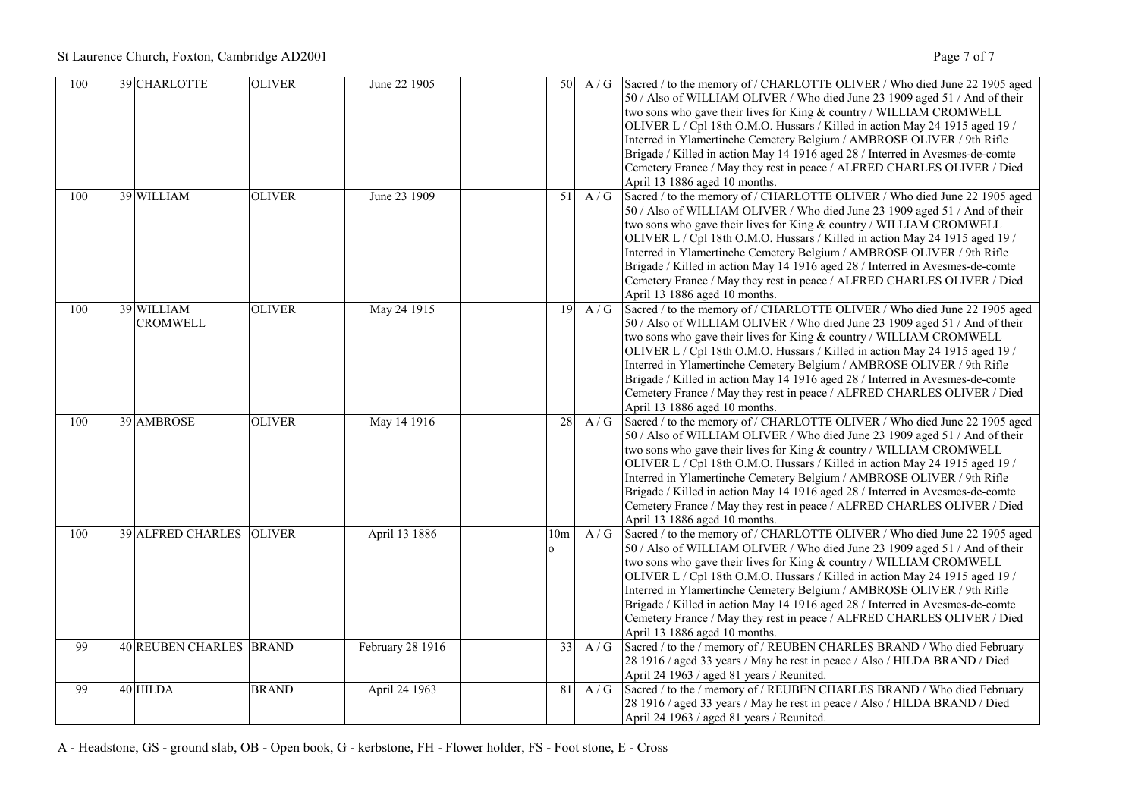| 100 | 39 CHARLOTTE                   | <b>OLIVER</b> | June 22 1905     | 50              | A/G | Sacred / to the memory of / CHARLOTTE OLIVER / Who died June 22 1905 aged<br>50 / Also of WILLIAM OLIVER / Who died June 23 1909 aged 51 / And of their<br>two sons who gave their lives for King & country / WILLIAM CROMWELL<br>OLIVER L / Cpl 18th O.M.O. Hussars / Killed in action May 24 1915 aged 19 /<br>Interred in Ylamertinche Cemetery Belgium / AMBROSE OLIVER / 9th Rifle<br>Brigade / Killed in action May 14 1916 aged 28 / Interred in Avesmes-de-comte<br>Cemetery France / May they rest in peace / ALFRED CHARLES OLIVER / Died<br>April 13 1886 aged 10 months. |
|-----|--------------------------------|---------------|------------------|-----------------|-----|--------------------------------------------------------------------------------------------------------------------------------------------------------------------------------------------------------------------------------------------------------------------------------------------------------------------------------------------------------------------------------------------------------------------------------------------------------------------------------------------------------------------------------------------------------------------------------------|
| 100 | 39 WILLIAM                     | <b>OLIVER</b> | June 23 1909     | 511             | A/G | Sacred / to the memory of / CHARLOTTE OLIVER / Who died June 22 1905 aged<br>50 / Also of WILLIAM OLIVER / Who died June 23 1909 aged 51 / And of their<br>two sons who gave their lives for King & country / WILLIAM CROMWELL<br>OLIVER L / Cpl 18th O.M.O. Hussars / Killed in action May 24 1915 aged 19 /<br>Interred in Ylamertinche Cemetery Belgium / AMBROSE OLIVER / 9th Rifle<br>Brigade / Killed in action May 14 1916 aged 28 / Interred in Avesmes-de-comte<br>Cemetery France / May they rest in peace / ALFRED CHARLES OLIVER / Died<br>April 13 1886 aged 10 months. |
| 100 | 39 WILLIAM<br><b>CROMWELL</b>  | <b>OLIVER</b> | May 24 1915      | 19              | A/G | Sacred / to the memory of / CHARLOTTE OLIVER / Who died June 22 1905 aged<br>50 / Also of WILLIAM OLIVER / Who died June 23 1909 aged 51 / And of their<br>two sons who gave their lives for King & country / WILLIAM CROMWELL<br>OLIVER L / Cpl 18th O.M.O. Hussars / Killed in action May 24 1915 aged 19 /<br>Interred in Ylamertinche Cemetery Belgium / AMBROSE OLIVER / 9th Rifle<br>Brigade / Killed in action May 14 1916 aged 28 / Interred in Avesmes-de-comte<br>Cemetery France / May they rest in peace / ALFRED CHARLES OLIVER / Died<br>April 13 1886 aged 10 months. |
| 100 | 39 AMBROSE                     | <b>OLIVER</b> | May 14 1916      | 28              | A/G | Sacred / to the memory of / CHARLOTTE OLIVER / Who died June 22 1905 aged<br>50 / Also of WILLIAM OLIVER / Who died June 23 1909 aged 51 / And of their<br>two sons who gave their lives for King & country / WILLIAM CROMWELL<br>OLIVER L / Cpl 18th O.M.O. Hussars / Killed in action May 24 1915 aged 19 /<br>Interred in Ylamertinche Cemetery Belgium / AMBROSE OLIVER / 9th Rifle<br>Brigade / Killed in action May 14 1916 aged 28 / Interred in Avesmes-de-comte<br>Cemetery France / May they rest in peace / ALFRED CHARLES OLIVER / Died<br>April 13 1886 aged 10 months. |
| 100 | <b>39 ALFRED CHARLES</b>       | <b>OLIVER</b> | April 13 1886    | 10 <sub>m</sub> | A/G | Sacred / to the memory of / CHARLOTTE OLIVER / Who died June 22 1905 aged<br>50 / Also of WILLIAM OLIVER / Who died June 23 1909 aged 51 / And of their<br>two sons who gave their lives for King & country / WILLIAM CROMWELL<br>OLIVER L / Cpl 18th O.M.O. Hussars / Killed in action May 24 1915 aged 19 /<br>Interred in Ylamertinche Cemetery Belgium / AMBROSE OLIVER / 9th Rifle<br>Brigade / Killed in action May 14 1916 aged 28 / Interred in Avesmes-de-comte<br>Cemetery France / May they rest in peace / ALFRED CHARLES OLIVER / Died<br>April 13 1886 aged 10 months. |
| 99  | <b>40 REUBEN CHARLES BRAND</b> |               | February 28 1916 | 33              | A/G | Sacred / to the / memory of / REUBEN CHARLES BRAND / Who died February<br>28 1916 / aged 33 years / May he rest in peace / Also / HILDA BRAND / Died<br>April 24 1963 / aged 81 years / Reunited.                                                                                                                                                                                                                                                                                                                                                                                    |
| 99  | 40 HILDA                       | <b>BRAND</b>  | April 24 1963    | 81              | A/G | Sacred / to the / memory of / REUBEN CHARLES BRAND / Who died February<br>28 1916 / aged 33 years / May he rest in peace / Also / HILDA BRAND / Died<br>April 24 1963 / aged 81 years / Reunited.                                                                                                                                                                                                                                                                                                                                                                                    |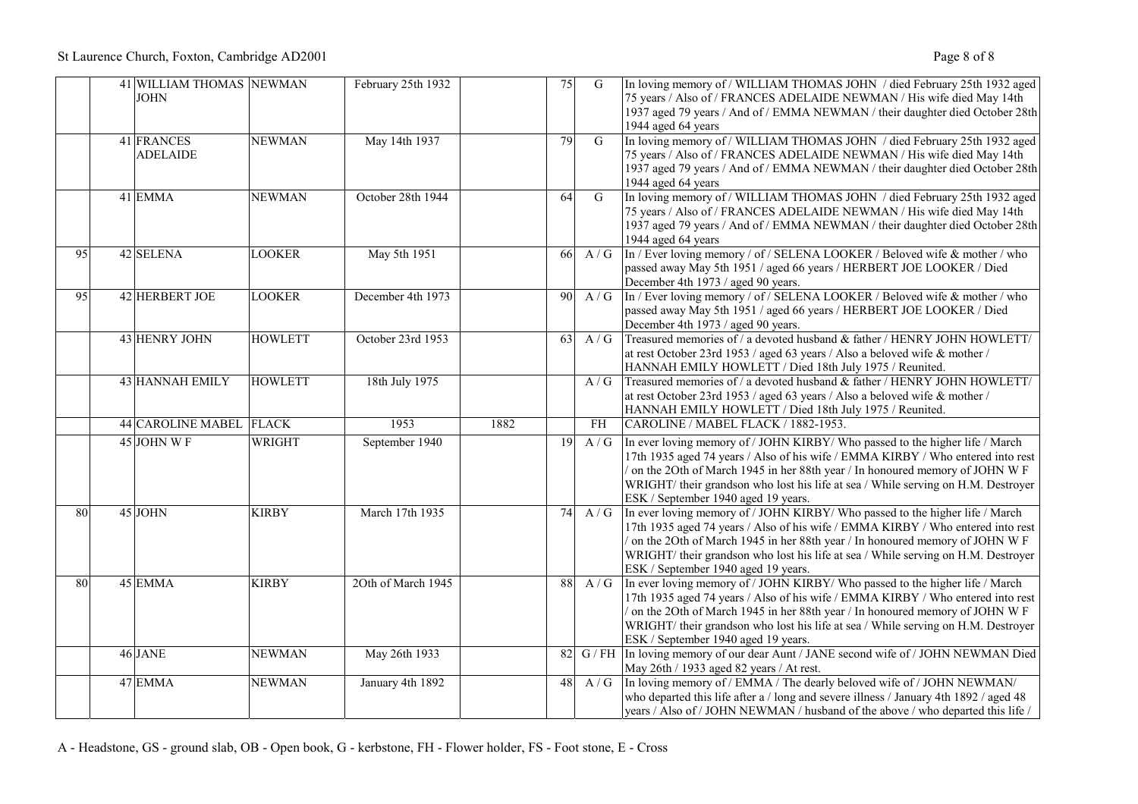|    | 41 WILLIAM THOMAS NEWMAN<br>IOHN |                | February 25th 1932 |      | 75 | G            | In loving memory of / WILLIAM THOMAS JOHN / died February 25th 1932 aged<br>75 years / Also of / FRANCES ADELAIDE NEWMAN / His wife died May 14th<br>1937 aged 79 years / And of / EMMA NEWMAN / their daughter died October 28th<br>1944 aged 64 years                                                                                                                      |
|----|----------------------------------|----------------|--------------------|------|----|--------------|------------------------------------------------------------------------------------------------------------------------------------------------------------------------------------------------------------------------------------------------------------------------------------------------------------------------------------------------------------------------------|
|    | 41 FRANCES<br><b>ADELAIDE</b>    | <b>NEWMAN</b>  | May 14th 1937      |      | 79 | G            | In loving memory of / WILLIAM THOMAS JOHN / died February 25th 1932 aged<br>75 years / Also of / FRANCES ADELAIDE NEWMAN / His wife died May 14th<br>1937 aged 79 years / And of / EMMA NEWMAN / their daughter died October 28th<br>1944 aged 64 years                                                                                                                      |
|    | 41 EMMA                          | <b>NEWMAN</b>  | October 28th 1944  |      | 64 | $\mathsf{G}$ | In loving memory of / WILLIAM THOMAS JOHN / died February 25th 1932 aged<br>75 years / Also of / FRANCES ADELAIDE NEWMAN / His wife died May 14th<br>1937 aged 79 years / And of / EMMA NEWMAN / their daughter died October 28th<br>1944 aged 64 years                                                                                                                      |
| 95 | 42 SELENA                        | <b>LOOKER</b>  | May 5th 1951       |      | 66 | A/G          | In / Ever loving memory / of / SELENA LOOKER / Beloved wife & mother / who<br>passed away May 5th 1951 / aged 66 years / HERBERT JOE LOOKER / Died<br>December 4th 1973 / aged 90 years.                                                                                                                                                                                     |
| 95 | 42 HERBERT JOE                   | <b>LOOKER</b>  | December 4th 1973  |      |    | $90$ A/G     | In / Ever loving memory / of / SELENA LOOKER / Beloved wife & mother / who<br>passed away May 5th 1951 / aged 66 years / HERBERT JOE LOOKER / Died<br>December 4th 1973 / aged 90 years.                                                                                                                                                                                     |
|    | 43 HENRY JOHN                    | <b>HOWLETT</b> | October 23rd 1953  |      | 63 | A/G          | Treasured memories of / a devoted husband & father / HENRY JOHN HOWLETT/<br>at rest October 23rd 1953 / aged 63 years / Also a beloved wife & mother /<br>HANNAH EMILY HOWLETT / Died 18th July 1975 / Reunited.                                                                                                                                                             |
|    | <b>43 HANNAH EMILY</b>           | <b>HOWLETT</b> | 18th July 1975     |      |    | A/G          | Treasured memories of / a devoted husband & father / HENRY JOHN HOWLETT/<br>at rest October 23rd 1953 / aged 63 years / Also a beloved wife & mother /<br>HANNAH EMILY HOWLETT / Died 18th July 1975 / Reunited.                                                                                                                                                             |
|    | 44 CAROLINE MABEL FLACK          |                | 1953               | 1882 |    | <b>FH</b>    | CAROLINE / MABEL FLACK / 1882-1953.                                                                                                                                                                                                                                                                                                                                          |
|    | 45 JOHN W F                      | <b>WRIGHT</b>  | September 1940     |      |    | $19$ A/G     | In ever loving memory of / JOHN KIRBY/ Who passed to the higher life / March<br>17th 1935 aged 74 years / Also of his wife / EMMA KIRBY / Who entered into rest<br>/ on the 20th of March 1945 in her 88th year / In honoured memory of JOHN W F<br>WRIGHT/ their grandson who lost his life at sea / While serving on H.M. Destroyer<br>ESK / September 1940 aged 19 years. |
| 80 | 45 JOHN                          | <b>KIRBY</b>   | March 17th 1935    |      |    | 74 $A/G$     | In ever loving memory of / JOHN KIRBY/ Who passed to the higher life / March<br>17th 1935 aged 74 years / Also of his wife / EMMA KIRBY / Who entered into rest<br>/ on the 20th of March 1945 in her 88th year / In honoured memory of JOHN W F<br>WRIGHT/their grandson who lost his life at sea / While serving on H.M. Destroyer<br>ESK / September 1940 aged 19 years.  |
| 80 | 45 EMMA                          | <b>KIRBY</b>   | 20th of March 1945 |      |    | $88$ A/G     | In ever loving memory of / JOHN KIRBY/ Who passed to the higher life / March<br>17th 1935 aged 74 years / Also of his wife / EMMA KIRBY / Who entered into rest<br>/ on the 20th of March 1945 in her 88th year / In honoured memory of JOHN W F<br>WRIGHT/ their grandson who lost his life at sea / While serving on H.M. Destroyer<br>ESK / September 1940 aged 19 years. |
|    | 46 JANE                          | <b>NEWMAN</b>  | May 26th 1933      |      | 82 |              | G / FH In loving memory of our dear Aunt / JANE second wife of / JOHN NEWMAN Died<br>May 26th / 1933 aged 82 years / At rest.                                                                                                                                                                                                                                                |
|    | 47 EMMA                          | <b>NEWMAN</b>  | January 4th 1892   |      |    | $48$ A/G     | In loving memory of / EMMA / The dearly beloved wife of / JOHN NEWMAN/<br>who departed this life after a / long and severe illness / January 4th 1892 / aged 48<br>years / Also of / JOHN NEWMAN / husband of the above / who departed this life /                                                                                                                           |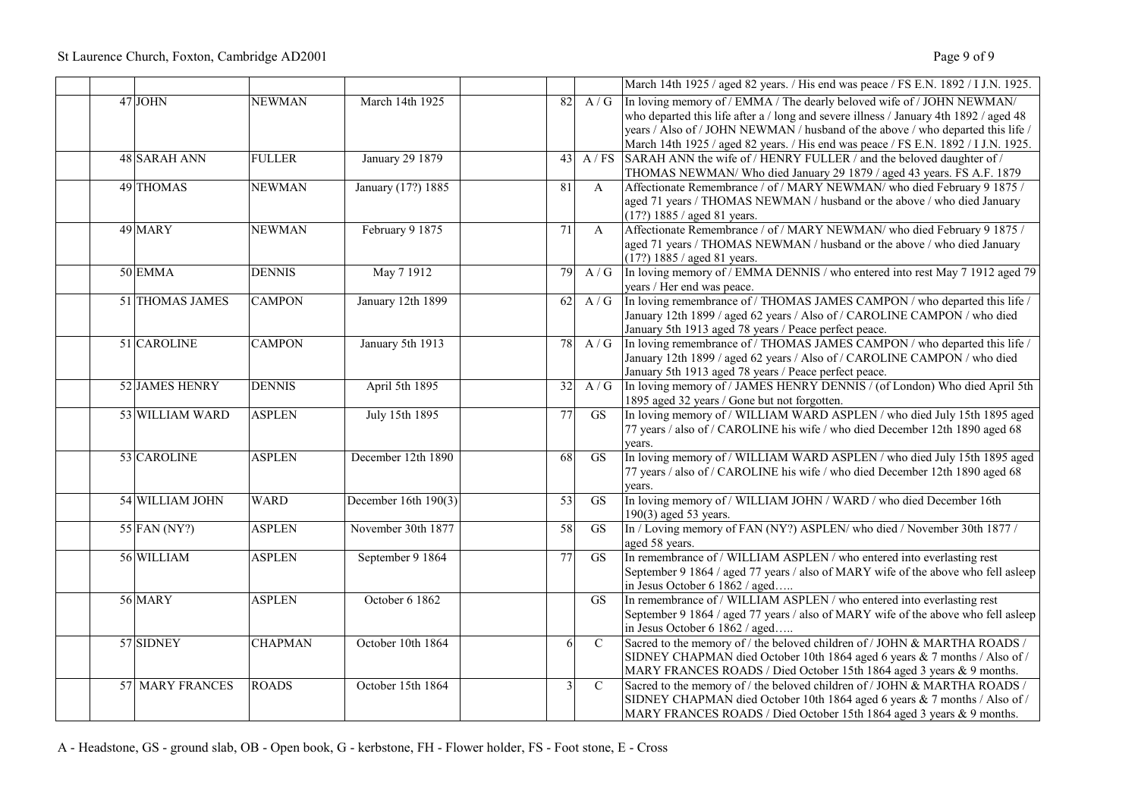|                     |                |                        |                 |               | March 14th 1925 / aged 82 years. / His end was peace / FS E.N. 1892 / I J.N. 1925.                                                                                                                                                                                                                                                       |
|---------------------|----------------|------------------------|-----------------|---------------|------------------------------------------------------------------------------------------------------------------------------------------------------------------------------------------------------------------------------------------------------------------------------------------------------------------------------------------|
| 47 JOHN             | <b>NEWMAN</b>  | March 14th 1925        |                 | 82 $A/G$      | In loving memory of / EMMA / The dearly beloved wife of / JOHN NEWMAN/<br>who departed this life after a / long and severe illness / January 4th 1892 / aged 48<br>years / Also of / JOHN NEWMAN / husband of the above / who departed this life /<br>March 14th 1925 / aged 82 years. / His end was peace / FS E.N. 1892 / I J.N. 1925. |
| <b>48 SARAH ANN</b> | <b>FULLER</b>  | <b>January 29 1879</b> |                 |               | 43 A/FS SARAH ANN the wife of / HENRY FULLER / and the beloved daughter of /<br>THOMAS NEWMAN/ Who died January 29 1879 / aged 43 years. FS A.F. 1879                                                                                                                                                                                    |
| 49 THOMAS           | <b>NEWMAN</b>  | January (17?) 1885     | 81              | $\mathsf{A}$  | Affectionate Remembrance / of / MARY NEWMAN/ who died February 9 1875 /<br>aged 71 years / THOMAS NEWMAN / husband or the above / who died January<br>(17?) 1885 / aged 81 years.                                                                                                                                                        |
| 49 MARY             | <b>NEWMAN</b>  | February 9 1875        | 71              | $\mathbf{A}$  | Affectionate Remembrance / of / MARY NEWMAN/ who died February 9 1875 /<br>aged 71 years / THOMAS NEWMAN / husband or the above / who died January<br>(17?) 1885 / aged 81 years.                                                                                                                                                        |
| 50 EMMA             | <b>DENNIS</b>  | May 7 1912             | 79              | A/G           | In loving memory of / EMMA DENNIS / who entered into rest May 7 1912 aged 79<br>years / Her end was peace.                                                                                                                                                                                                                               |
| 51 THOMAS JAMES     | <b>CAMPON</b>  | January 12th 1899      | 62              | A/G           | In loving remembrance of / THOMAS JAMES CAMPON / who departed this life /<br>January 12th 1899 / aged 62 years / Also of / CAROLINE CAMPON / who died<br>January 5th 1913 aged 78 years / Peace perfect peace.                                                                                                                           |
| 51 CAROLINE         | <b>CAMPON</b>  | January 5th 1913       | 78              | A/G           | In loving remembrance of / THOMAS JAMES CAMPON / who departed this life /<br>January 12th 1899 / aged 62 years / Also of / CAROLINE CAMPON / who died<br>January 5th 1913 aged 78 years / Peace perfect peace.                                                                                                                           |
| 52 JAMES HENRY      | <b>DENNIS</b>  | April 5th 1895         | $\overline{32}$ | A/G           | In loving memory of / JAMES HENRY DENNIS / (of London) Who died April 5th<br>1895 aged 32 years / Gone but not forgotten.                                                                                                                                                                                                                |
| 53 WILLIAM WARD     | <b>ASPLEN</b>  | July 15th 1895         | 77              | <b>GS</b>     | In loving memory of / WILLIAM WARD ASPLEN / who died July 15th 1895 aged<br>77 years / also of / CAROLINE his wife / who died December 12th 1890 aged 68<br>vears.                                                                                                                                                                       |
| 53 CAROLINE         | <b>ASPLEN</b>  | December 12th 1890     | 68              | <b>GS</b>     | In loving memory of / WILLIAM WARD ASPLEN / who died July 15th 1895 aged<br>77 years / also of / CAROLINE his wife / who died December 12th 1890 aged 68<br>vears.                                                                                                                                                                       |
| 54 WILLIAM JOHN     | <b>WARD</b>    | December 16th $190(3)$ | 53              | <b>GS</b>     | In loving memory of / WILLIAM JOHN / WARD / who died December 16th<br>190(3) aged 53 years.                                                                                                                                                                                                                                              |
| 55 FAN (NY?)        | <b>ASPLEN</b>  | November 30th 1877     | 58              | <b>GS</b>     | In / Loving memory of FAN (NY?) ASPLEN/ who died / November 30th 1877 /<br>aged 58 years.                                                                                                                                                                                                                                                |
| 56 WILLIAM          | <b>ASPLEN</b>  | September 9 1864       | 77              | <b>GS</b>     | In remembrance of / WILLIAM ASPLEN / who entered into everlasting rest<br>September 9 1864 / aged 77 years / also of MARY wife of the above who fell asleep<br>in Jesus October 6 1862 / aged                                                                                                                                            |
| 56 MARY             | <b>ASPLEN</b>  | October 6 1862         |                 | <b>GS</b>     | In remembrance of / WILLIAM ASPLEN / who entered into everlasting rest<br>September 9 1864 / aged 77 years / also of MARY wife of the above who fell asleep<br>in Jesus October 6 1862 / aged                                                                                                                                            |
| 57 SIDNEY           | <b>CHAPMAN</b> | October 10th 1864      | 6               | $\mathcal{C}$ | Sacred to the memory of / the beloved children of / JOHN & MARTHA ROADS /<br>SIDNEY CHAPMAN died October 10th 1864 aged 6 years & 7 months / Also of /<br>MARY FRANCES ROADS / Died October 15th 1864 aged 3 years & 9 months.                                                                                                           |
| 57 MARY FRANCES     | <b>ROADS</b>   | October 15th 1864      | 3               | $\mathcal{C}$ | Sacred to the memory of / the beloved children of / JOHN & MARTHA ROADS /<br>SIDNEY CHAPMAN died October 10th 1864 aged 6 years & 7 months / Also of /<br>MARY FRANCES ROADS / Died October 15th 1864 aged 3 years & 9 months.                                                                                                           |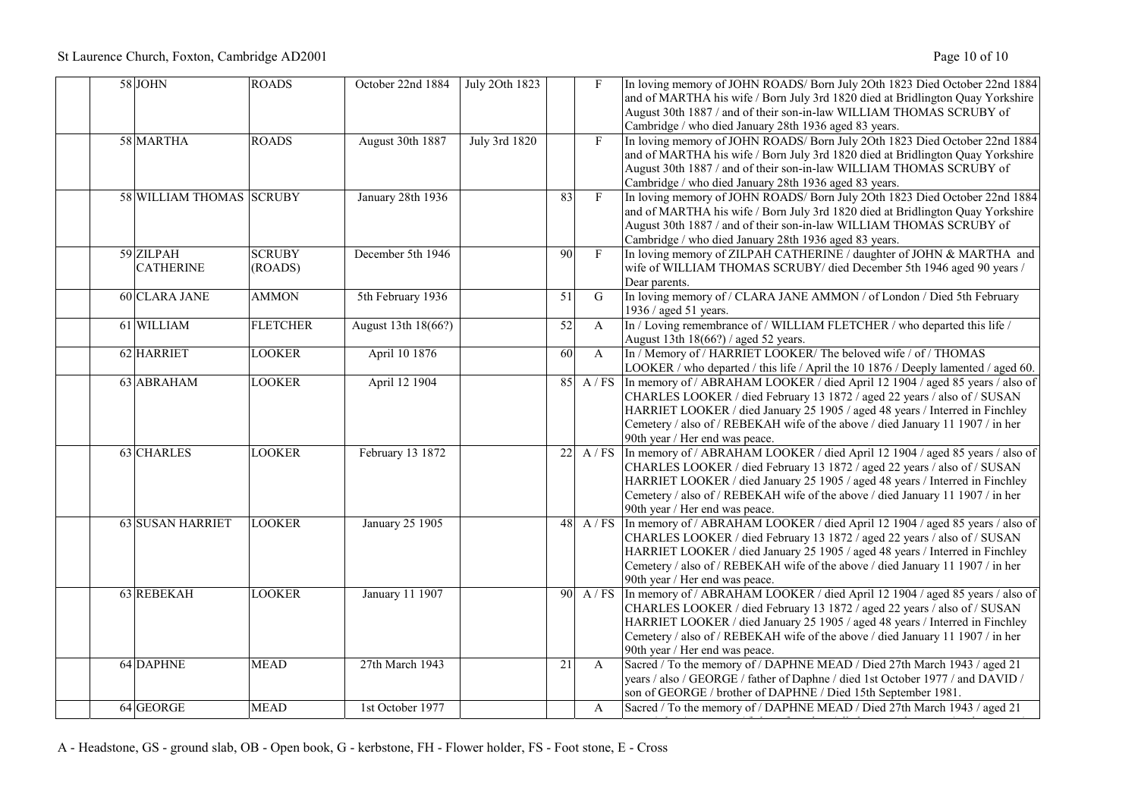/ l / / f h f h / di d b / d /

|  | 58 JOHN                       | <b>ROADS</b>             | October 22nd 1884       | July 20th 1823 |                 | $\mathbf{F}$ | In loving memory of JOHN ROADS/ Born July 20th 1823 Died October 22nd 1884<br>and of MARTHA his wife / Born July 3rd 1820 died at Bridlington Quay Yorkshire<br>August 30th 1887 / and of their son-in-law WILLIAM THOMAS SCRUBY of<br>Cambridge / who died January 28th 1936 aged 83 years.                                                                 |
|--|-------------------------------|--------------------------|-------------------------|----------------|-----------------|--------------|--------------------------------------------------------------------------------------------------------------------------------------------------------------------------------------------------------------------------------------------------------------------------------------------------------------------------------------------------------------|
|  | 58 MARTHA                     | <b>ROADS</b>             | <b>August 30th 1887</b> | July 3rd 1820  |                 | F            | In loving memory of JOHN ROADS/ Born July 20th 1823 Died October 22nd 1884<br>and of MARTHA his wife / Born July 3rd 1820 died at Bridlington Quay Yorkshire<br>August 30th 1887 / and of their son-in-law WILLIAM THOMAS SCRUBY of<br>Cambridge / who died January 28th 1936 aged 83 years.                                                                 |
|  | 58 WILLIAM THOMAS SCRUBY      |                          | January 28th 1936       |                | 83              | $\mathbf{F}$ | In loving memory of JOHN ROADS/ Born July 20th 1823 Died October 22nd 1884<br>and of MARTHA his wife / Born July 3rd 1820 died at Bridlington Quay Yorkshire<br>August 30th 1887 / and of their son-in-law WILLIAM THOMAS SCRUBY of<br>Cambridge / who died January 28th 1936 aged 83 years.                                                                 |
|  | 59 ZILPAH<br><b>CATHERINE</b> | <b>SCRUBY</b><br>(ROADS) | December 5th 1946       |                | $\overline{90}$ | $\mathbf{F}$ | In loving memory of ZILPAH CATHERINE / daughter of JOHN & MARTHA and<br>wife of WILLIAM THOMAS SCRUBY/ died December 5th 1946 aged 90 years /<br>Dear parents.                                                                                                                                                                                               |
|  | 60 CLARA JANE                 | <b>AMMON</b>             | 5th February 1936       |                | 51              | G            | In loving memory of / CLARA JANE AMMON / of London / Died 5th February<br>1936 / aged 51 years.                                                                                                                                                                                                                                                              |
|  | 61 WILLIAM                    | <b>FLETCHER</b>          | August 13th 18(66?)     |                | $\overline{52}$ | A            | In / Loving remembrance of / WILLIAM FLETCHER / who departed this life /<br>August 13th 18(66?) / aged 52 years.                                                                                                                                                                                                                                             |
|  | 62 HARRIET                    | <b>LOOKER</b>            | April 10 1876           |                | 60              | $\mathbf{A}$ | In / Memory of / HARRIET LOOKER/ The beloved wife / of / THOMAS<br>LOOKER / who departed / this life / April the 10 1876 / Deeply lamented / aged 60.                                                                                                                                                                                                        |
|  | 63 ABRAHAM                    | <b>LOOKER</b>            | April 12 1904           |                |                 | $85$ A/FS    | In memory of / ABRAHAM LOOKER / died April 12 1904 / aged 85 years / also of<br>CHARLES LOOKER / died February 13 1872 / aged 22 years / also of / SUSAN<br>HARRIET LOOKER / died January 25 1905 / aged 48 years / Interred in Finchley<br>Cemetery / also of / REBEKAH wife of the above / died January 11 1907 / in her<br>90th year / Her end was peace. |
|  | 63 CHARLES                    | <b>LOOKER</b>            | February 13 1872        |                | 22              | A/FS         | In memory of / ABRAHAM LOOKER / died April 12 1904 / aged 85 years / also of<br>CHARLES LOOKER / died February 13 1872 / aged 22 years / also of / SUSAN<br>HARRIET LOOKER / died January 25 1905 / aged 48 years / Interred in Finchley<br>Cemetery / also of / REBEKAH wife of the above / died January 11 1907 / in her<br>90th year / Her end was peace. |
|  | <b>63 SUSAN HARRIET</b>       | <b>LOOKER</b>            | <b>January 25 1905</b>  |                | 48              | A/FS         | In memory of / ABRAHAM LOOKER / died April 12 1904 / aged 85 years / also of<br>CHARLES LOOKER / died February 13 1872 / aged 22 years / also of / SUSAN<br>HARRIET LOOKER / died January 25 1905 / aged 48 years / Interred in Finchley<br>Cemetery / also of / REBEKAH wife of the above / died January 11 1907 / in her<br>90th year / Her end was peace. |
|  | 63 REBEKAH                    | <b>LOOKER</b>            | <b>January 11 1907</b>  |                | 90              | A/FS         | In memory of / ABRAHAM LOOKER / died April 12 1904 / aged 85 years / also of<br>CHARLES LOOKER / died February 13 1872 / aged 22 years / also of / SUSAN<br>HARRIET LOOKER / died January 25 1905 / aged 48 years / Interred in Finchley<br>Cemetery / also of / REBEKAH wife of the above / died January 11 1907 / in her<br>90th year / Her end was peace. |
|  | 64 DAPHNE                     | <b>MEAD</b>              | 27th March 1943         |                | 21              | $\mathbf{A}$ | Sacred / To the memory of / DAPHNE MEAD / Died 27th March 1943 / aged 21<br>years / also / GEORGE / father of Daphne / died 1st October 1977 / and DAVID /<br>son of GEORGE / brother of DAPHNE / Died 15th September 1981.                                                                                                                                  |
|  | 64 GEORGE                     | <b>MEAD</b>              | 1st October 1977        |                |                 | A            | Sacred / To the memory of / DAPHNE MEAD / Died 27th March 1943 / aged 21                                                                                                                                                                                                                                                                                     |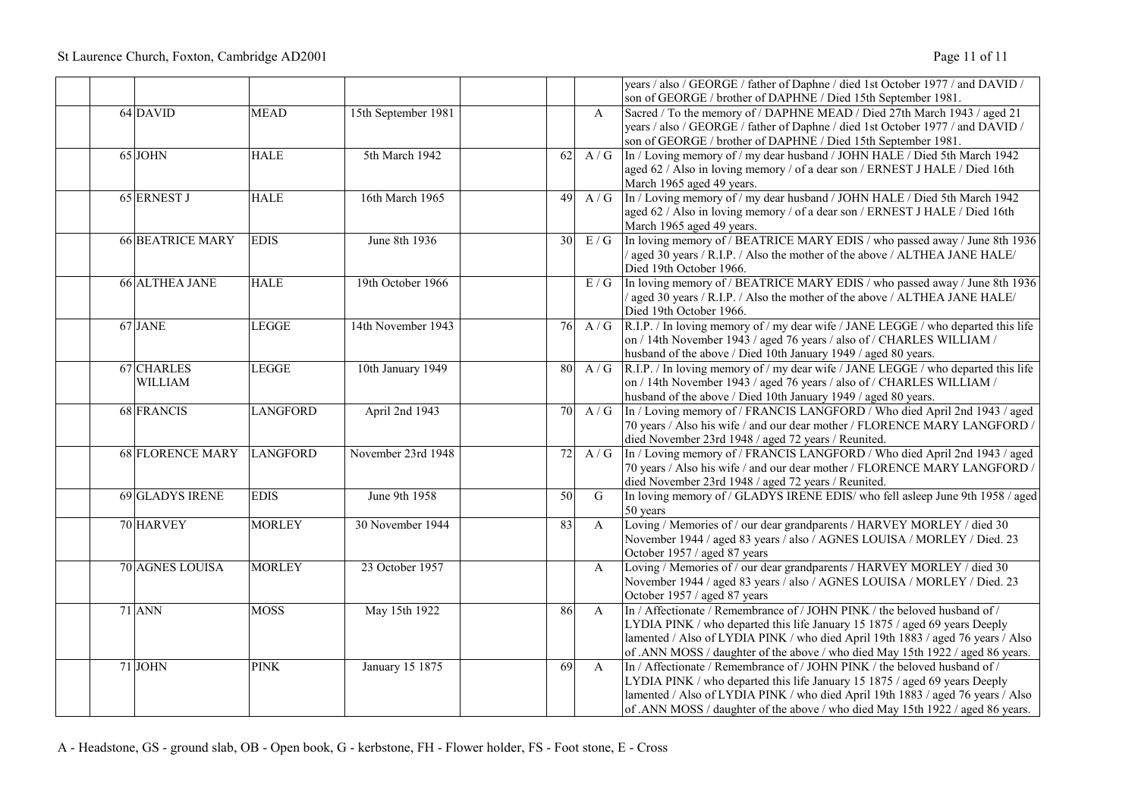|  |                         |                 |                     |    |              | years / also / GEORGE / father of Daphne / died 1st October 1977 / and DAVID /<br>son of GEORGE / brother of DAPHNE / Died 15th September 1981                |
|--|-------------------------|-----------------|---------------------|----|--------------|---------------------------------------------------------------------------------------------------------------------------------------------------------------|
|  | 64 DAVID                | <b>MEAD</b>     | 15th September 1981 |    | $\mathbf{A}$ | Sacred / To the memory of / DAPHNE MEAD / Died 27th March 1943 / aged 21<br>years / also / GEORGE / father of Daphne / died 1st October 1977 / and DAVID /    |
|  |                         |                 |                     |    |              | son of GEORGE / brother of DAPHNE / Died 15th September 1981.                                                                                                 |
|  | 65 JOHN                 | <b>HALE</b>     | 5th March 1942      | 62 | A/G          | In / Loving memory of / my dear husband / JOHN HALE / Died 5th March 1942                                                                                     |
|  |                         |                 |                     |    |              | aged 62 / Also in loving memory / of a dear son / ERNEST J HALE / Died 16th                                                                                   |
|  | 65 ERNEST J             | <b>HALE</b>     | 16th March 1965     | 49 | A/G          | March 1965 aged 49 years.<br>In / Loving memory of / my dear husband / JOHN HALE / Died 5th March 1942                                                        |
|  |                         |                 |                     |    |              | aged 62 / Also in loving memory / of a dear son / ERNEST J HALE / Died 16th                                                                                   |
|  |                         |                 |                     |    |              | March 1965 aged 49 years.                                                                                                                                     |
|  | <b>66 BEATRICE MARY</b> | <b>EDIS</b>     | June 8th 1936       | 30 | E/G          | In loving memory of / BEATRICE MARY EDIS / who passed away / June 8th 1936                                                                                    |
|  |                         |                 |                     |    |              | / aged 30 years / R.I.P. / Also the mother of the above / ALTHEA JANE HALE/<br>Died 19th October 1966.                                                        |
|  | 66 ALTHEA JANE          | <b>HALE</b>     | 19th October 1966   |    |              | E / G In loving memory of / BEATRICE MARY EDIS / who passed away / June 8th 1936                                                                              |
|  |                         |                 |                     |    |              | aged 30 years / R.I.P. / Also the mother of the above / ALTHEA JANE HALE/                                                                                     |
|  |                         |                 |                     |    |              | Died 19th October 1966.                                                                                                                                       |
|  | 67 JANE                 | <b>LEGGE</b>    | 14th November 1943  |    | 76 $A/G$     | R.I.P. / In loving memory of / my dear wife / JANE LEGGE / who departed this life                                                                             |
|  |                         |                 |                     |    |              | on / 14th November 1943 / aged 76 years / also of / CHARLES WILLIAM /<br>husband of the above / Died 10th January 1949 / aged 80 years.                       |
|  | 67 CHARLES              | <b>LEGGE</b>    | 10th January 1949   | 80 | A/G          | R.I.P. / In loving memory of / my dear wife / JANE LEGGE / who departed this life                                                                             |
|  | <b>WILLIAM</b>          |                 |                     |    |              | on / 14th November 1943 / aged 76 years / also of / CHARLES WILLIAM /                                                                                         |
|  |                         |                 |                     |    |              | husband of the above / Died 10th January 1949 / aged 80 years.                                                                                                |
|  | <b>68 FRANCIS</b>       | <b>LANGFORD</b> | April 2nd 1943      |    | $70$ A/G     | In / Loving memory of / FRANCIS LANGFORD / Who died April 2nd 1943 / aged                                                                                     |
|  |                         |                 |                     |    |              | 70 years / Also his wife / and our dear mother / FLORENCE MARY LANGFORD /<br>died November 23rd 1948 / aged 72 years / Reunited.                              |
|  | 68 FLORENCE MARY        | <b>LANGFORD</b> | November 23rd 1948  | 72 | A/G          | In / Loving memory of / FRANCIS LANGFORD / Who died April 2nd 1943 / aged                                                                                     |
|  |                         |                 |                     |    |              | 70 years / Also his wife / and our dear mother / FLORENCE MARY LANGFORD /                                                                                     |
|  |                         |                 |                     |    |              | died November 23rd 1948 / aged 72 years / Reunited.                                                                                                           |
|  | 69 GLADYS IRENE         | <b>EDIS</b>     | June 9th 1958       | 50 | ${\bf G}$    | In loving memory of / GLADYS IRENE EDIS/ who fell asleep June 9th 1958 / aged<br>50 years                                                                     |
|  | 70 HARVEY               | <b>MORLEY</b>   | 30 November 1944    | 83 | $\mathbf{A}$ | Loving / Memories of / our dear grandparents / HARVEY MORLEY / died 30                                                                                        |
|  |                         |                 |                     |    |              | November 1944 / aged 83 years / also / AGNES LOUISA / MORLEY / Died. 23                                                                                       |
|  |                         |                 |                     |    |              | October 1957 / aged 87 years                                                                                                                                  |
|  | 70 AGNES LOUISA         | <b>MORLEY</b>   | 23 October 1957     |    | $\mathbf{A}$ | Loving / Memories of / our dear grandparents / HARVEY MORLEY / died 30                                                                                        |
|  |                         |                 |                     |    |              | November 1944 / aged 83 years / also / AGNES LOUISA / MORLEY / Died. 23                                                                                       |
|  | <b>71 ANN</b>           | <b>MOSS</b>     | May 15th 1922       | 86 | A            | October 1957 / aged 87 years<br>In / Affectionate / Remembrance of / JOHN PINK / the beloved husband of /                                                     |
|  |                         |                 |                     |    |              | LYDIA PINK / who departed this life January 15 1875 / aged 69 years Deeply                                                                                    |
|  |                         |                 |                     |    |              | lamented / Also of LYDIA PINK / who died April 19th 1883 / aged 76 years / Also                                                                               |
|  |                         |                 |                     |    |              | of .ANN MOSS / daughter of the above / who died May 15th 1922 / aged 86 years.                                                                                |
|  | 71 JOHN                 | <b>PINK</b>     | January 15 1875     | 69 | $\mathbf{A}$ | In / Affectionate / Remembrance of / JOHN PINK / the beloved husband of /                                                                                     |
|  |                         |                 |                     |    |              | LYDIA PINK / who departed this life January 15 1875 / aged 69 years Deeply<br>lamented / Also of LYDIA PINK / who died April 19th 1883 / aged 76 years / Also |
|  |                         |                 |                     |    |              | of .ANN MOSS / daughter of the above / who died May 15th 1922 / aged 86 years.                                                                                |
|  |                         |                 |                     |    |              |                                                                                                                                                               |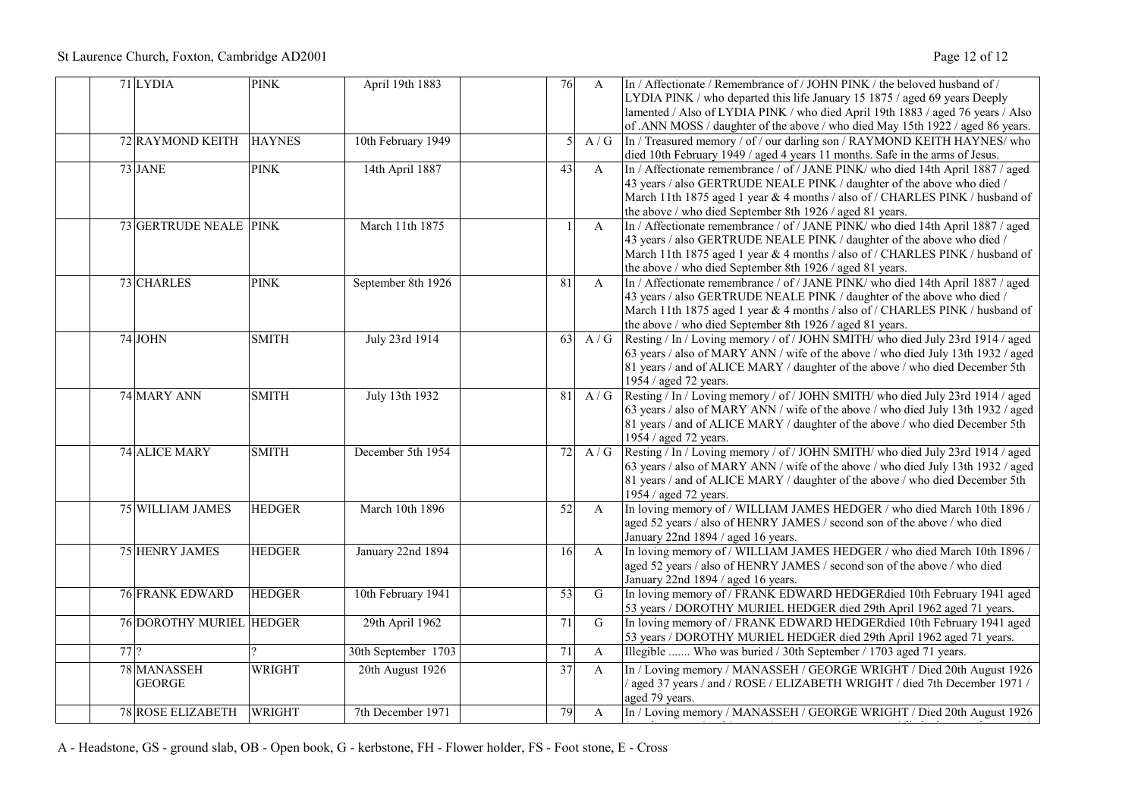<u>https://www.php?communications.com</u><br>https://www.php?communications.com

|      | 71 LYDIA                        | <b>PINK</b>   | April 19th 1883     | 76              | $\mathsf{A}$   | In / Affectionate / Remembrance of / JOHN PINK / the beloved husband of /<br>LYDIA PINK / who departed this life January 15 1875 / aged 69 years Deeply<br>lamented / Also of LYDIA PINK / who died April 19th 1883 / aged 76 years / Also<br>of .ANN MOSS / daughter of the above / who died May 15th 1922 / aged 86 years. |
|------|---------------------------------|---------------|---------------------|-----------------|----------------|------------------------------------------------------------------------------------------------------------------------------------------------------------------------------------------------------------------------------------------------------------------------------------------------------------------------------|
|      | 72 RAYMOND KEITH HAYNES         |               | 10th February 1949  | $\overline{5}$  |                | $A/G$ In / Treasured memory / of / our darling son / RAYMOND KEITH HAYNES/ who<br>died 10th February 1949 / aged 4 years 11 months. Safe in the arms of Jesus.                                                                                                                                                               |
|      | 73 JANE                         | <b>PINK</b>   | 14th April 1887     | 43              | $\overline{A}$ | In / Affectionate remembrance / of / JANE PINK/ who died 14th April 1887 / aged<br>43 years / also GERTRUDE NEALE PINK / daughter of the above who died /<br>March 11th 1875 aged 1 year & 4 months / also of / CHARLES PINK / husband of<br>the above / who died September 8th 1926 / aged 81 years.                        |
|      | 73 GERTRUDE NEALE PINK          |               | March 11th 1875     |                 | $\mathbf{A}$   | In / Affectionate remembrance / of / JANE PINK/ who died 14th April 1887 / aged<br>43 years / also GERTRUDE NEALE PINK / daughter of the above who died /<br>March 11th 1875 aged 1 year & 4 months / also of / CHARLES PINK / husband of<br>the above / who died September 8th 1926 / aged 81 years.                        |
|      | 73 CHARLES                      | <b>PINK</b>   | September 8th 1926  | 81              | $\mathbf{A}$   | In / Affectionate remembrance / of / JANE PINK/ who died 14th April 1887 / aged<br>43 years / also GERTRUDE NEALE PINK / daughter of the above who died /<br>March 11th 1875 aged 1 year & 4 months / also of / CHARLES PINK / husband of<br>the above / who died September 8th 1926 / aged 81 years.                        |
|      | 74 JOHN                         | <b>SMITH</b>  | July 23rd 1914      | 63              |                | A/G Resting / In / Loving memory / of / JOHN SMITH/ who died July 23rd 1914 / aged<br>63 years / also of MARY ANN / wife of the above / who died July 13th 1932 / aged<br>81 years / and of ALICE MARY / daughter of the above / who died December 5th<br>1954 / aged 72 years.                                              |
|      | 74 MARY ANN                     | <b>SMITH</b>  | July 13th 1932      | 81              | A/G            | Resting / In / Loving memory / of / JOHN SMITH/ who died July 23rd 1914 / aged<br>63 years / also of MARY ANN / wife of the above / who died July 13th 1932 / aged<br>81 years / and of ALICE MARY / daughter of the above / who died December 5th<br>1954 / aged 72 years.                                                  |
|      | 74 ALICE MARY                   | <b>SMITH</b>  | December 5th 1954   | 72              |                | A/G Resting / In / Loving memory / of / JOHN SMITH/ who died July 23rd 1914 / aged<br>63 years / also of MARY ANN / wife of the above / who died July 13th 1932 / aged<br>81 years / and of ALICE MARY / daughter of the above / who died December 5th<br>1954 / aged 72 years.                                              |
|      | 75 WILLIAM JAMES                | <b>HEDGER</b> | March 10th 1896     | $\overline{52}$ | $\overline{A}$ | In loving memory of / WILLIAM JAMES HEDGER / who died March 10th 1896 /<br>aged 52 years / also of HENRY JAMES / second son of the above / who died<br>January 22nd 1894 / aged 16 years.                                                                                                                                    |
|      | <b>75 HENRY JAMES</b>           | <b>HEDGER</b> | January 22nd 1894   | 16              | $\mathbf{A}$   | In loving memory of / WILLIAM JAMES HEDGER / who died March 10th 1896 /<br>aged 52 years / also of HENRY JAMES / second son of the above / who died<br>January 22nd 1894 / aged 16 years.                                                                                                                                    |
|      | <b>76 FRANK EDWARD</b>          | <b>HEDGER</b> | 10th February 1941  | 53              | G              | In loving memory of / FRANK EDWARD HEDGERdied 10th February 1941 aged<br>53 years / DOROTHY MURIEL HEDGER died 29th April 1962 aged 71 years.                                                                                                                                                                                |
|      | <b>76 DOROTHY MURIEL HEDGER</b> |               | 29th April 1962     | 71              | G              | In loving memory of / FRANK EDWARD HEDGERdied 10th February 1941 aged<br>53 years / DOROTHY MURIEL HEDGER died 29th April 1962 aged 71 years.                                                                                                                                                                                |
| 77 ? |                                 |               | 30th September 1703 | $\overline{71}$ | $\mathbf{A}$   | Illegible  Who was buried / 30th September / 1703 aged 71 years.                                                                                                                                                                                                                                                             |
|      | 78 MANASSEH<br><b>GEORGE</b>    | <b>WRIGHT</b> | 20th August 1926    | $\overline{37}$ | $\mathbf{A}$   | In / Loving memory / MANASSEH / GEORGE WRIGHT / Died 20th August 1926<br>aged 37 years / and / ROSE / ELIZABETH WRIGHT / died 7th December 1971 /<br>aged 79 years.                                                                                                                                                          |
|      | 78 ROSE ELIZABETH WRIGHT        |               | 7th December 1971   | 79              | $\mathbf{A}$   | In / Loving memory / MANASSEH / GEORGE WRIGHT / Died 20th August 1926                                                                                                                                                                                                                                                        |

/ d / d / / / di d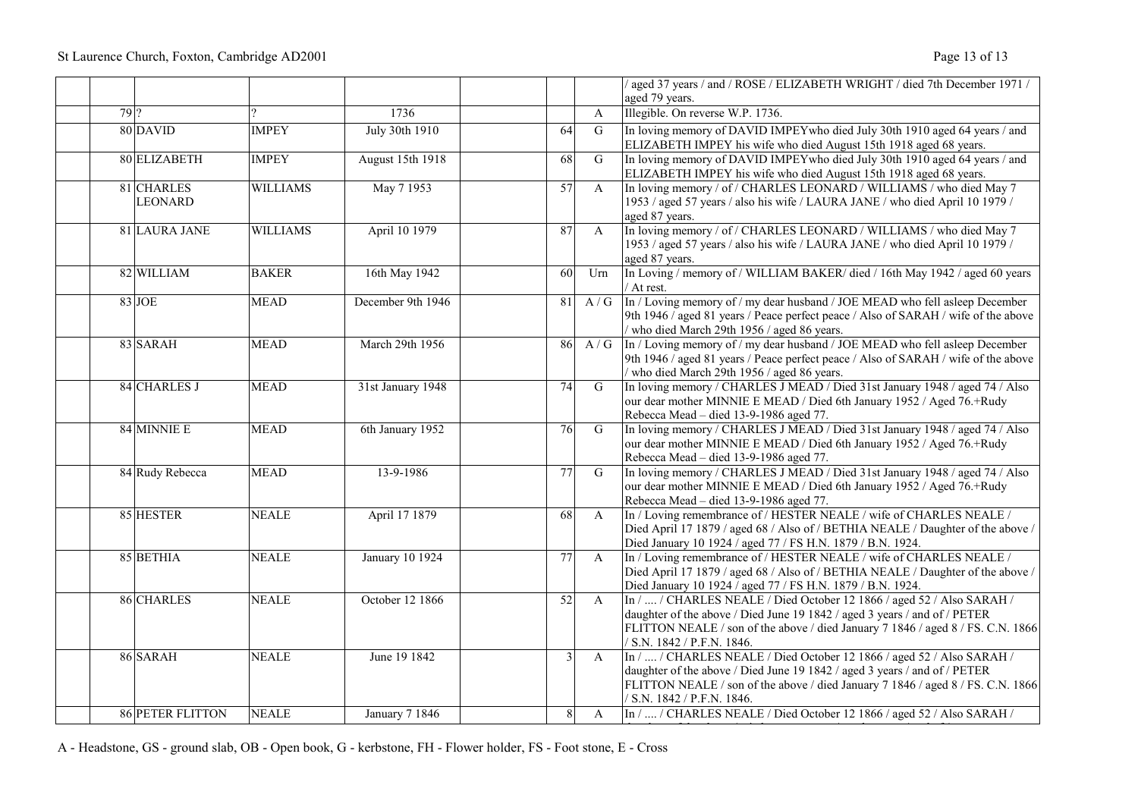|     |                              |                 |                        |                |                     | aged 37 years / and / ROSE / ELIZABETH WRIGHT / died 7th December 1971 /<br>aged 79 years.                                                                                                                                                                          |
|-----|------------------------------|-----------------|------------------------|----------------|---------------------|---------------------------------------------------------------------------------------------------------------------------------------------------------------------------------------------------------------------------------------------------------------------|
| 79? |                              |                 | 1736                   |                | $\mathsf{A}$        | Illegible. On reverse W.P. 1736.                                                                                                                                                                                                                                    |
|     | 80 DAVID                     | <b>IMPEY</b>    | July 30th 1910         | 64             | G                   | In loving memory of DAVID IMPEY who died July 30th 1910 aged 64 years / and<br>ELIZABETH IMPEY his wife who died August 15th 1918 aged 68 years.                                                                                                                    |
|     | 80 ELIZABETH                 | <b>IMPEY</b>    | August 15th 1918       | 68             | $\overline{G}$      | In loving memory of DAVID IMPEY who died July 30th 1910 aged 64 years / and<br>ELIZABETH IMPEY his wife who died August 15th 1918 aged 68 years.                                                                                                                    |
|     | 81 CHARLES<br><b>LEONARD</b> | <b>WILLIAMS</b> | May 7 1953             | 57             | $\mathbf{A}$        | In loving memory / of / CHARLES LEONARD / WILLIAMS / who died May 7<br>1953 / aged 57 years / also his wife / LAURA JANE / who died April 10 1979 /<br>aged 87 years.                                                                                               |
|     | <b>81 LAURA JANE</b>         | <b>WILLIAMS</b> | April 10 1979          | 87             | $\mathbf{A}$        | In loving memory / of / CHARLES LEONARD / WILLIAMS / who died May 7<br>1953 / aged 57 years / also his wife / LAURA JANE / who died April 10 1979 /<br>aged 87 years.                                                                                               |
|     | 82 WILLIAM                   | <b>BAKER</b>    | 16th May 1942          | 60             | Urn                 | In Loving / memory of / WILLIAM BAKER/ died / 16th May 1942 / aged 60 years<br>/ At rest.                                                                                                                                                                           |
|     | 83 JOE                       | <b>MEAD</b>     | December 9th 1946      |                | $81$ A/G            | In / Loving memory of / my dear husband / JOE MEAD who fell asleep December<br>9th 1946 / aged 81 years / Peace perfect peace / Also of SARAH / wife of the above<br>who died March 29th 1956 / aged 86 years.                                                      |
|     | 83 SARAH                     | <b>MEAD</b>     | March 29th 1956        |                | 86 $\overline{A/G}$ | In / Loving memory of / my dear husband / JOE MEAD who fell asleep December<br>9th 1946 / aged 81 years / Peace perfect peace / Also of SARAH / wife of the above<br>who died March 29th 1956 / aged 86 years.                                                      |
|     | 84 CHARLES J                 | <b>MEAD</b>     | 31st January 1948      | 74             | G                   | In loving memory / CHARLES J MEAD / Died 31st January 1948 / aged 74 / Also<br>our dear mother MINNIE E MEAD / Died 6th January 1952 / Aged 76.+Rudy<br>Rebecca Mead - died 13-9-1986 aged 77.                                                                      |
|     | 84 MINNIE E                  | <b>MEAD</b>     | 6th January 1952       | 76             | $\overline{G}$      | In loving memory / CHARLES J MEAD / Died 31st January 1948 / aged 74 / Also<br>our dear mother MINNIE E MEAD / Died 6th January 1952 / Aged 76.+Rudy<br>Rebecca Mead - died 13-9-1986 aged 77.                                                                      |
|     | 84 Rudy Rebecca              | <b>MEAD</b>     | 13-9-1986              | 77             | G                   | In loving memory / CHARLES J MEAD / Died 31st January 1948 / aged 74 / Also<br>our dear mother MINNIE E MEAD / Died 6th January 1952 / Aged 76.+Rudy<br>Rebecca Mead - died 13-9-1986 aged 77.                                                                      |
|     | 85 HESTER                    | <b>NEALE</b>    | April 17 1879          | 68             | $\mathbf{A}$        | In / Loving remembrance of / HESTER NEALE / wife of CHARLES NEALE /<br>Died April 17 1879 / aged 68 / Also of / BETHIA NEALE / Daughter of the above /<br>Died January 10 1924 / aged 77 / FS H.N. 1879 / B.N. 1924.                                                |
|     | 85 BETHIA                    | <b>NEALE</b>    | <b>January 10 1924</b> | 77             | $\mathbf{A}$        | In / Loving remembrance of / HESTER NEALE / wife of CHARLES NEALE /<br>Died April 17 1879 / aged 68 / Also of / BETHIA NEALE / Daughter of the above /<br>Died January 10 1924 / aged 77 / FS H.N. 1879 / B.N. 1924.                                                |
|     | 86 CHARLES                   | <b>NEALE</b>    | October 12 1866        | 52             | $\mathsf{A}$        | In /  / CHARLES NEALE / Died October 12 1866 / aged 52 / Also SARAH /<br>daughter of the above / Died June 19 1842 / aged 3 years / and of / PETER<br>FLITTON NEALE / son of the above / died January 7 1846 / aged 8 / FS. C.N. 1866<br>/ S.N. 1842 / P.F.N. 1846. |
|     | 86 SARAH                     | <b>NEALE</b>    | June 19 1842           | $\overline{3}$ | $\mathbf{A}$        | In /  / CHARLES NEALE / Died October 12 1866 / aged 52 / Also SARAH /<br>daughter of the above / Died June 19 1842 / aged 3 years / and of / PETER<br>FLITTON NEALE / son of the above / died January 7 1846 / aged 8 / FS. C.N. 1866<br>/ S.N. 1842 / P.F.N. 1846. |
|     | <b>86 PETER FLITTON</b>      | <b>NEALE</b>    | January 7 1846         | 8              | $\mathbf{A}$        | In /  / CHARLES NEALE / Died October 12 1866 / aged 52 / Also SARAH /                                                                                                                                                                                               |

d h f h b / i d / d / d f/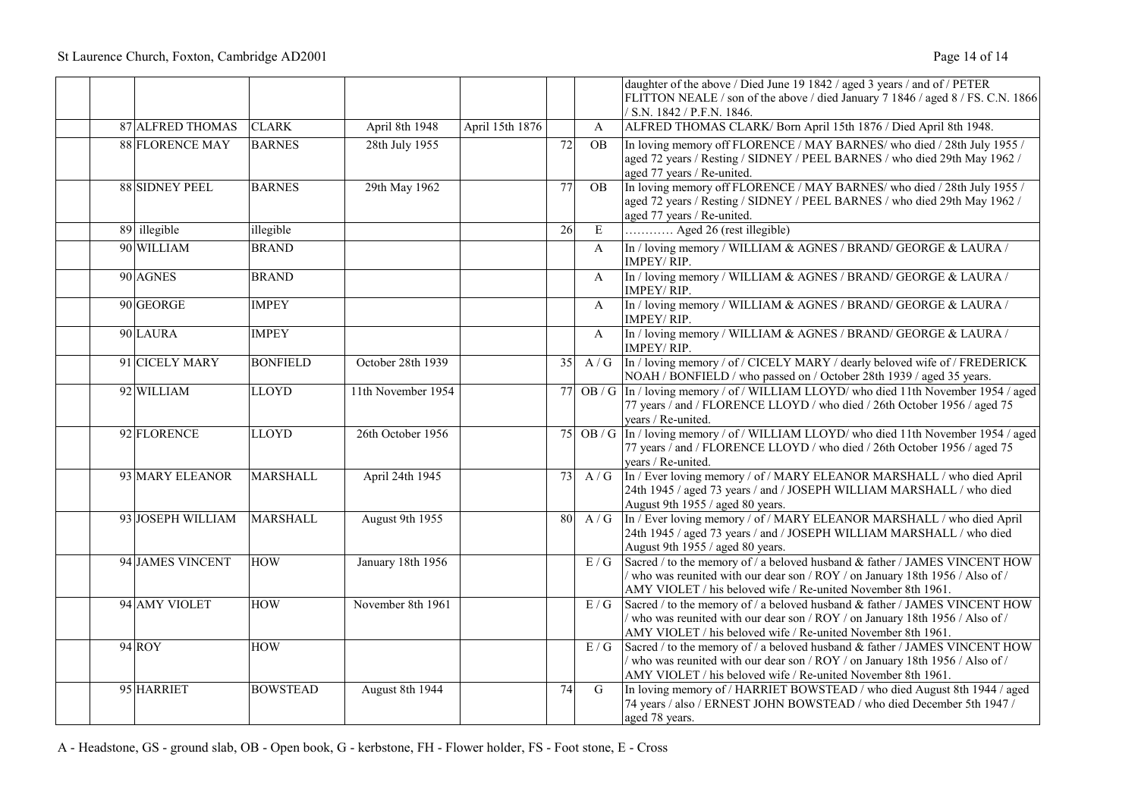|                         |                 |                    |                 |    |                | daughter of the above / Died June 19 1842 / aged 3 years / and of / PETER<br>FLITTON NEALE / son of the above / died January 7 1846 / aged 8 / FS. C.N. 1866<br>/ S.N. 1842 / P.F.N. 1846.                                  |
|-------------------------|-----------------|--------------------|-----------------|----|----------------|-----------------------------------------------------------------------------------------------------------------------------------------------------------------------------------------------------------------------------|
| <b>87 ALFRED THOMAS</b> | <b>CLARK</b>    | April 8th 1948     | April 15th 1876 |    | $\mathbf{A}$   | ALFRED THOMAS CLARK/ Born April 15th 1876 / Died April 8th 1948.                                                                                                                                                            |
| <b>88 FLORENCE MAY</b>  | <b>BARNES</b>   | 28th July 1955     |                 | 72 | <b>OB</b>      | In loving memory off FLORENCE / MAY BARNES/ who died / 28th July 1955 /<br>aged 72 years / Resting / SIDNEY / PEEL BARNES / who died 29th May 1962 /<br>aged 77 years / Re-united.                                          |
| 88 SIDNEY PEEL          | <b>BARNES</b>   | 29th May 1962      |                 | 77 | O <sub>B</sub> | In loving memory off FLORENCE / MAY BARNES/ who died / 28th July 1955 /<br>aged 72 years / Resting / SIDNEY / PEEL BARNES / who died 29th May 1962 /<br>aged 77 years / Re-united.                                          |
| 89 illegible            | illegible       |                    |                 | 26 | E              | Aged 26 (rest illegible)                                                                                                                                                                                                    |
| 90 WILLIAM              | <b>BRAND</b>    |                    |                 |    | A              | In / loving memory / WILLIAM & AGNES / BRAND/ GEORGE & LAURA /<br>IMPEY/RIP.                                                                                                                                                |
| 90 AGNES                | <b>BRAND</b>    |                    |                 |    | $\mathbf{A}$   | In / loving memory / WILLIAM & AGNES / BRAND/ GEORGE & LAURA /<br>IMPEY/RIP.                                                                                                                                                |
| 90 GEORGE               | <b>IMPEY</b>    |                    |                 |    | $\mathbf{A}$   | In / loving memory / WILLIAM & AGNES / BRAND/ GEORGE & LAURA /<br>IMPEY/RIP.                                                                                                                                                |
| 90 LAURA                | <b>IMPEY</b>    |                    |                 |    | $\mathbf{A}$   | In / loving memory / WILLIAM & AGNES / BRAND/ GEORGE & LAURA /<br>IMPEY/RIP.                                                                                                                                                |
| 91 CICELY MARY          | <b>BONFIELD</b> | October 28th 1939  |                 | 35 | A/G            | In / loving memory / of / CICELY MARY / dearly beloved wife of / FREDERICK<br>NOAH / BONFIELD / who passed on / October 28th 1939 / aged 35 years.                                                                          |
| 92 WILLIAM              | <b>LLOYD</b>    | 11th November 1954 |                 | 77 |                | OB / G In / loving memory / of / WILLIAM LLOYD/ who died 11th November 1954 / aged<br>77 years / and / FLORENCE LLOYD / who died / 26th October 1956 / aged 75<br>years / Re-united.                                        |
| 92 FLORENCE             | <b>LLOYD</b>    | 26th October 1956  |                 |    |                | 75 OB / G In / loving memory / of / WILLIAM LLOYD/ who died 11th November 1954 / aged<br>77 years / and / FLORENCE LLOYD / who died / 26th October 1956 / aged 75<br>years / Re-united.                                     |
| 93 MARY ELEANOR         | <b>MARSHALL</b> | April 24th 1945    |                 | 73 | A/G            | In / Ever loving memory / of / MARY ELEANOR MARSHALL / who died April<br>24th 1945 / aged 73 years / and / JOSEPH WILLIAM MARSHALL / who died<br>August 9th 1955 / aged 80 years.                                           |
| 93 JOSEPH WILLIAM       | <b>MARSHALL</b> | August 9th 1955    |                 | 80 | A/G            | In / Ever loving memory / of / MARY ELEANOR MARSHALL / who died April<br>24th 1945 / aged 73 years / and / JOSEPH WILLIAM MARSHALL / who died<br>August 9th 1955 / aged 80 years.                                           |
| 94 JAMES VINCENT        | <b>HOW</b>      | January 18th 1956  |                 |    | E/G            | Sacred / to the memory of / a beloved husband & father / JAMES VINCENT HOW<br>/ who was reunited with our dear son / ROY / on January 18th 1956 / Also of /<br>AMY VIOLET / his beloved wife / Re-united November 8th 1961. |
| 94 AMY VIOLET           | <b>HOW</b>      | November 8th 1961  |                 |    | E/G            | Sacred / to the memory of / a beloved husband & father / JAMES VINCENT HOW<br>/ who was reunited with our dear son / ROY / on January 18th 1956 / Also of /<br>AMY VIOLET / his beloved wife / Re-united November 8th 1961. |
| 94 ROY                  | <b>HOW</b>      |                    |                 |    | E/G            | Sacred / to the memory of / a beloved husband & father / JAMES VINCENT HOW<br>/ who was reunited with our dear son / ROY / on January 18th 1956 / Also of /<br>AMY VIOLET / his beloved wife / Re-united November 8th 1961. |
| 95 HARRIET              | <b>BOWSTEAD</b> | August 8th 1944    |                 | 74 | G              | In loving memory of / HARRIET BOWSTEAD / who died August 8th 1944 / aged<br>74 years / also / ERNEST JOHN BOWSTEAD / who died December 5th 1947 /<br>aged 78 years.                                                         |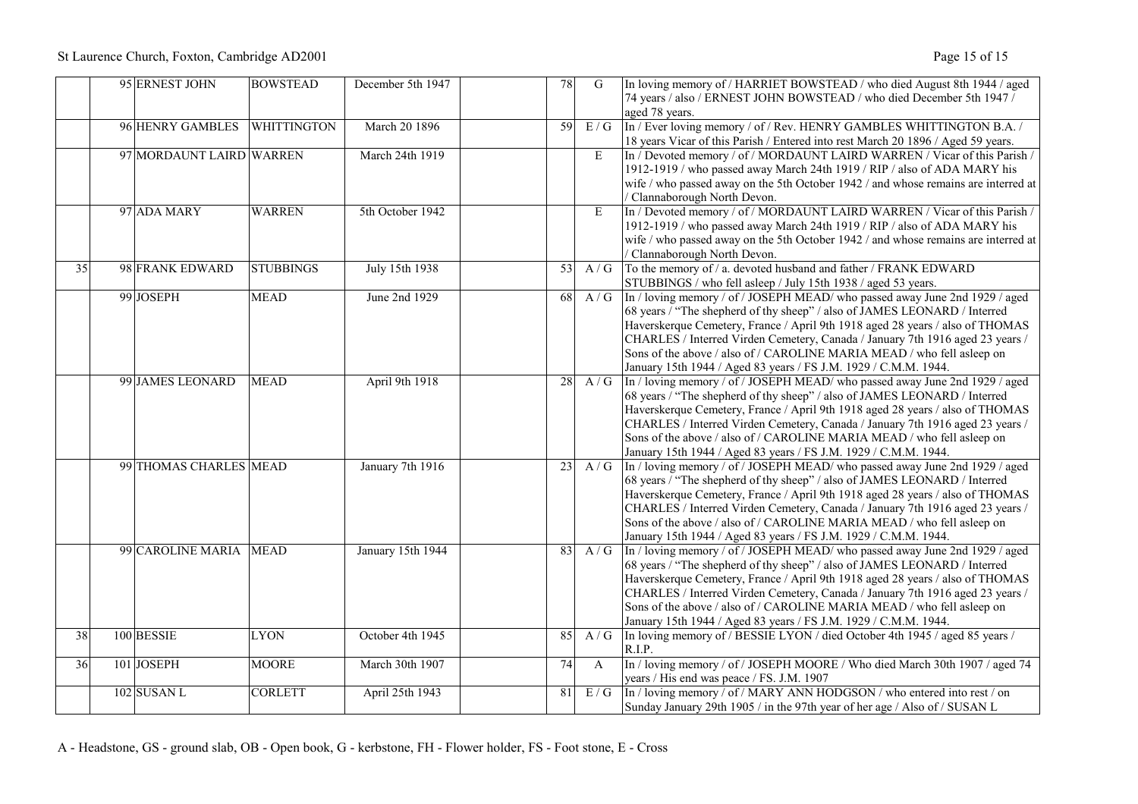|    | 95 ERNEST JOHN           | <b>BOWSTEAD</b>    | December 5th 1947 | 78 | G                   | In loving memory of / HARRIET BOWSTEAD / who died August 8th 1944 / aged<br>74 years / also / ERNEST JOHN BOWSTEAD / who died December 5th 1947 /<br>aged 78 years.                                                                                                                                                                                                                                                                                                     |
|----|--------------------------|--------------------|-------------------|----|---------------------|-------------------------------------------------------------------------------------------------------------------------------------------------------------------------------------------------------------------------------------------------------------------------------------------------------------------------------------------------------------------------------------------------------------------------------------------------------------------------|
|    | 96 HENRY GAMBLES         | <b>WHITTINGTON</b> | March 20 1896     |    | 59<br>E/G           | In / Ever loving memory / of / Rev. HENRY GAMBLES WHITTINGTON B.A. /<br>18 years Vicar of this Parish / Entered into rest March 20 1896 / Aged 59 years.                                                                                                                                                                                                                                                                                                                |
|    | 97 MORDAUNT LAIRD WARREN |                    | March 24th 1919   |    | E                   | In / Devoted memory / of / MORDAUNT LAIRD WARREN / Vicar of this Parish<br>1912-1919 / who passed away March 24th 1919 / RIP / also of ADA MARY his<br>wife / who passed away on the 5th October 1942 / and whose remains are interred at<br>/ Clannaborough North Devon.                                                                                                                                                                                               |
|    | 97 ADA MARY              | <b>WARREN</b>      | 5th October 1942  |    | E                   | In / Devoted memory / of / MORDAUNT LAIRD WARREN / Vicar of this Parish /<br>1912-1919 / who passed away March 24th 1919 / RIP / also of ADA MARY his<br>wife / who passed away on the 5th October 1942 / and whose remains are interred at<br>/ Clannaborough North Devon.                                                                                                                                                                                             |
| 35 | 98 FRANK EDWARD          | <b>STUBBINGS</b>   | July 15th 1938    |    |                     | 53 $A/G$ To the memory of / a. devoted husband and father / FRANK EDWARD<br>STUBBINGS / who fell asleep / July 15th 1938 / aged 53 years.                                                                                                                                                                                                                                                                                                                               |
|    | 99 JOSEPH                | <b>MEAD</b>        | June 2nd 1929     |    | 68<br>A/G           | In / loving memory / of / JOSEPH MEAD/ who passed away June 2nd 1929 / aged<br>68 years / "The shepherd of thy sheep" / also of JAMES LEONARD / Interred<br>Haverskerque Cemetery, France / April 9th 1918 aged 28 years / also of THOMAS<br>CHARLES / Interred Virden Cemetery, Canada / January 7th 1916 aged 23 years /<br>Sons of the above / also of / CAROLINE MARIA MEAD / who fell asleep on<br>January 15th 1944 / Aged 83 years / FS J.M. 1929 / C.M.M. 1944. |
|    | 99 JAMES LEONARD         | <b>MEAD</b>        | April 9th 1918    |    | $28$ A/G            | In / loving memory / of / JOSEPH MEAD/ who passed away June 2nd 1929 / aged<br>68 years / "The shepherd of thy sheep" / also of JAMES LEONARD / Interred<br>Haverskerque Cemetery, France / April 9th 1918 aged 28 years / also of THOMAS<br>CHARLES / Interred Virden Cemetery, Canada / January 7th 1916 aged 23 years /<br>Sons of the above / also of / CAROLINE MARIA MEAD / who fell asleep on<br>January 15th 1944 / Aged 83 years / FS J.M. 1929 / C.M.M. 1944. |
|    | 99 THOMAS CHARLES MEAD   |                    | January 7th 1916  |    | 23<br>A/G           | In / loving memory / of / JOSEPH MEAD/ who passed away June 2nd 1929 / aged<br>68 years / "The shepherd of thy sheep" / also of JAMES LEONARD / Interred<br>Haverskerque Cemetery, France / April 9th 1918 aged 28 years / also of THOMAS<br>CHARLES / Interred Virden Cemetery, Canada / January 7th 1916 aged 23 years /<br>Sons of the above / also of / CAROLINE MARIA MEAD / who fell asleep on<br>January 15th 1944 / Aged 83 years / FS J.M. 1929 / C.M.M. 1944. |
|    | 99 CAROLINE MARIA        | <b>MEAD</b>        | January 15th 1944 |    | $\overline{83}$ A/G | In / loving memory / of / JOSEPH MEAD/ who passed away June 2nd 1929 / aged<br>68 years / "The shepherd of thy sheep" / also of JAMES LEONARD / Interred<br>Haverskerque Cemetery, France / April 9th 1918 aged 28 years / also of THOMAS<br>CHARLES / Interred Virden Cemetery, Canada / January 7th 1916 aged 23 years /<br>Sons of the above / also of / CAROLINE MARIA MEAD / who fell asleep on<br>January 15th 1944 / Aged 83 years / FS J.M. 1929 / C.M.M. 1944. |
| 38 | 100 BESSIE               | <b>LYON</b>        | October 4th 1945  | 85 | A/G                 | In loving memory of / BESSIE LYON / died October 4th 1945 / aged 85 years /<br>R.I.P.                                                                                                                                                                                                                                                                                                                                                                                   |
| 36 | 101 JOSEPH               | <b>MOORE</b>       | March 30th 1907   | 74 | $\mathbf{A}$        | In / loving memory / of / JOSEPH MOORE / Who died March 30th 1907 / aged 74<br>years / His end was peace / FS. J.M. 1907                                                                                                                                                                                                                                                                                                                                                |
|    | 102 SUSAN L              | <b>CORLETT</b>     | April 25th 1943   | 81 | E/G                 | In / loving memory / of / MARY ANN HODGSON / who entered into rest / on<br>Sunday January 29th 1905 / in the 97th year of her age / Also of / SUSAN L                                                                                                                                                                                                                                                                                                                   |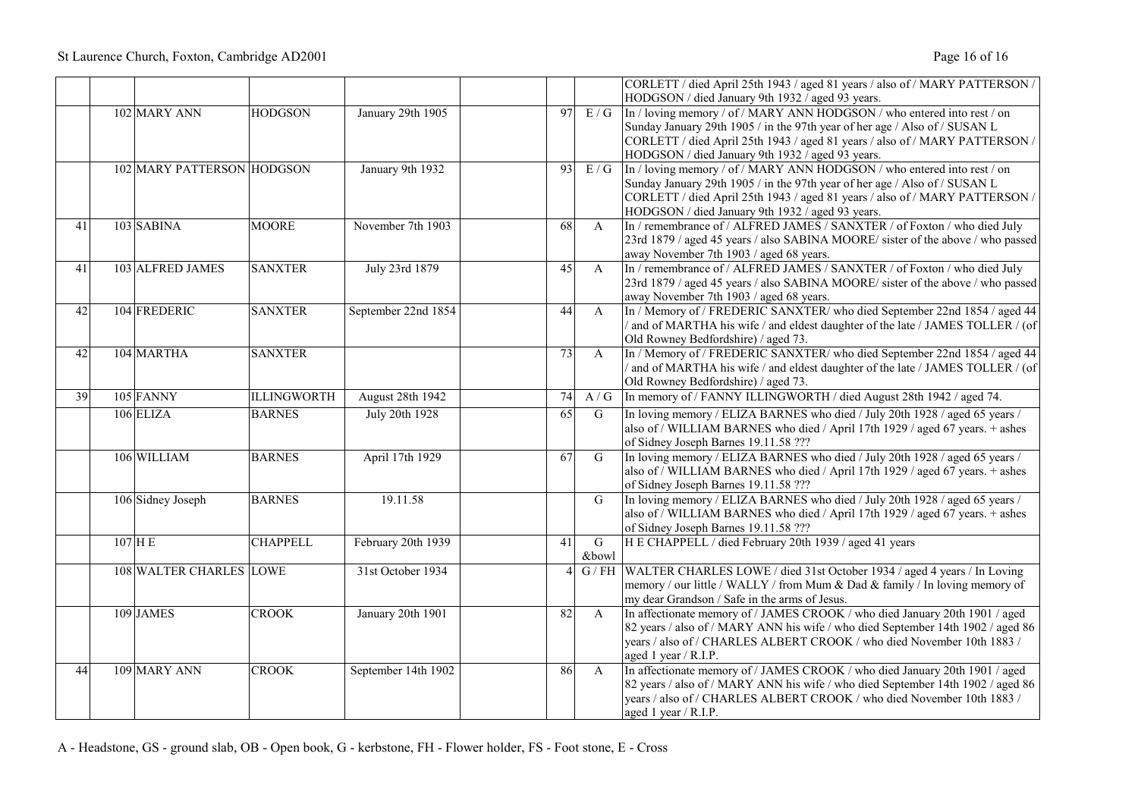| HODGSON / died January 9th 1932 / aged 93 years.<br>In / loving memory / of / MARY ANN HODGSON / who entered into rest / on<br>January 29th 1905<br>97<br>E/G<br>102 MARY ANN<br><b>HODGSON</b><br>Sunday January 29th 1905 / in the 97th year of her age / Also of / SUSAN L<br>CORLETT / died April 25th 1943 / aged 81 years / also of / MARY PATTERSON /<br>HODGSON / died January 9th 1932 / aged 93 years.<br>93 $E/G$ In / loving memory / of / MARY ANN HODGSON / who entered into rest / on<br>102 MARY PATTERSON HODGSON<br>January 9th 1932<br>Sunday January 29th 1905 / in the 97th year of her age / Also of / SUSAN L<br>CORLETT / died April 25th 1943 / aged 81 years / also of / MARY PATTERSON /<br>HODGSON / died January 9th 1932 / aged 93 years.<br>41<br>103 SABINA<br><b>MOORE</b><br>November 7th 1903<br>68<br>In / remembrance of / ALFRED JAMES / SANXTER / of Foxton / who died July<br>$\mathbf{A}$<br>away November 7th 1903 / aged 68 years.<br>In / remembrance of / ALFRED JAMES / SANXTER / of Foxton / who died July<br><b>SANXTER</b><br>July 23rd 1879<br>41<br>103 ALFRED JAMES<br>45<br>$\mathbf{A}$<br>away November 7th 1903 / aged 68 years.<br>104 FREDERIC<br><b>SANXTER</b><br>September 22nd 1854<br>In / Memory of / FREDERIC SANXTER/ who died September 22nd 1854 / aged 44<br>42<br>44<br>$\mathbf{A}$<br>and of MARTHA his wife / and eldest daughter of the late / JAMES TOLLER / (of<br>Old Rowney Bedfordshire) / aged 73.<br>In / Memory of / FREDERIC SANXTER/ who died September 22nd 1854 / aged 44<br>42<br>104 MARTHA<br><b>SANXTER</b><br>73<br>$\mathbf{A}$<br>and of MARTHA his wife / and eldest daughter of the late / JAMES TOLLER / (of<br>Old Rowney Bedfordshire) / aged 73.<br>105 FANNY<br><b>ILLINGWORTH</b><br><b>August 28th 1942</b><br>In memory of / FANNY ILLINGWORTH / died August 28th 1942 / aged 74.<br>39<br>74<br>A/G<br>In loving memory / ELIZA BARNES who died / July 20th 1928 / aged 65 years /<br>106 ELIZA<br>65<br><b>BARNES</b><br>July 20th 1928<br>G<br>also of / WILLIAM BARNES who died / April 17th 1929 / aged 67 years. + ashes<br>of Sidney Joseph Barnes 19.11.58 ???<br>In loving memory / ELIZA BARNES who died / July 20th 1928 / aged 65 years /<br>106 WILLIAM<br><b>BARNES</b><br>April 17th 1929<br>67<br>G<br>also of / WILLIAM BARNES who died / April 17th 1929 / aged 67 years. + ashes<br>of Sidney Joseph Barnes 19.11.58 ???<br>In loving memory / ELIZA BARNES who died / July 20th 1928 / aged 65 years /<br>106 Sidney Joseph<br><b>BARNES</b><br>19.11.58<br>G<br>also of / WILLIAM BARNES who died / April 17th 1929 / aged 67 years. + ashes<br>of Sidney Joseph Barnes 19.11.58 ???<br>February 20th 1939<br>H E CHAPPELL / died February 20th 1939 / aged 41 years<br>107 HE<br><b>CHAPPELL</b><br>41<br>$\overline{G}$<br>&bowl |
|----------------------------------------------------------------------------------------------------------------------------------------------------------------------------------------------------------------------------------------------------------------------------------------------------------------------------------------------------------------------------------------------------------------------------------------------------------------------------------------------------------------------------------------------------------------------------------------------------------------------------------------------------------------------------------------------------------------------------------------------------------------------------------------------------------------------------------------------------------------------------------------------------------------------------------------------------------------------------------------------------------------------------------------------------------------------------------------------------------------------------------------------------------------------------------------------------------------------------------------------------------------------------------------------------------------------------------------------------------------------------------------------------------------------------------------------------------------------------------------------------------------------------------------------------------------------------------------------------------------------------------------------------------------------------------------------------------------------------------------------------------------------------------------------------------------------------------------------------------------------------------------------------------------------------------------------------------------------------------------------------------------------------------------------------------------------------------------------------------------------------------------------------------------------------------------------------------------------------------------------------------------------------------------------------------------------------------------------------------------------------------------------------------------------------------------------------------------------------------------------------------------------------------------------------------------------------------------------------------------------------------------------------------------------------------------------------------------------------------------------------------------------------------------------------------------------------------------------------------------|
|                                                                                                                                                                                                                                                                                                                                                                                                                                                                                                                                                                                                                                                                                                                                                                                                                                                                                                                                                                                                                                                                                                                                                                                                                                                                                                                                                                                                                                                                                                                                                                                                                                                                                                                                                                                                                                                                                                                                                                                                                                                                                                                                                                                                                                                                                                                                                                                                                                                                                                                                                                                                                                                                                                                                                                                                                                                                |
|                                                                                                                                                                                                                                                                                                                                                                                                                                                                                                                                                                                                                                                                                                                                                                                                                                                                                                                                                                                                                                                                                                                                                                                                                                                                                                                                                                                                                                                                                                                                                                                                                                                                                                                                                                                                                                                                                                                                                                                                                                                                                                                                                                                                                                                                                                                                                                                                                                                                                                                                                                                                                                                                                                                                                                                                                                                                |
|                                                                                                                                                                                                                                                                                                                                                                                                                                                                                                                                                                                                                                                                                                                                                                                                                                                                                                                                                                                                                                                                                                                                                                                                                                                                                                                                                                                                                                                                                                                                                                                                                                                                                                                                                                                                                                                                                                                                                                                                                                                                                                                                                                                                                                                                                                                                                                                                                                                                                                                                                                                                                                                                                                                                                                                                                                                                |
| 23rd 1879 / aged 45 years / also SABINA MOORE/ sister of the above / who passed                                                                                                                                                                                                                                                                                                                                                                                                                                                                                                                                                                                                                                                                                                                                                                                                                                                                                                                                                                                                                                                                                                                                                                                                                                                                                                                                                                                                                                                                                                                                                                                                                                                                                                                                                                                                                                                                                                                                                                                                                                                                                                                                                                                                                                                                                                                                                                                                                                                                                                                                                                                                                                                                                                                                                                                |
|                                                                                                                                                                                                                                                                                                                                                                                                                                                                                                                                                                                                                                                                                                                                                                                                                                                                                                                                                                                                                                                                                                                                                                                                                                                                                                                                                                                                                                                                                                                                                                                                                                                                                                                                                                                                                                                                                                                                                                                                                                                                                                                                                                                                                                                                                                                                                                                                                                                                                                                                                                                                                                                                                                                                                                                                                                                                |
|                                                                                                                                                                                                                                                                                                                                                                                                                                                                                                                                                                                                                                                                                                                                                                                                                                                                                                                                                                                                                                                                                                                                                                                                                                                                                                                                                                                                                                                                                                                                                                                                                                                                                                                                                                                                                                                                                                                                                                                                                                                                                                                                                                                                                                                                                                                                                                                                                                                                                                                                                                                                                                                                                                                                                                                                                                                                |
|                                                                                                                                                                                                                                                                                                                                                                                                                                                                                                                                                                                                                                                                                                                                                                                                                                                                                                                                                                                                                                                                                                                                                                                                                                                                                                                                                                                                                                                                                                                                                                                                                                                                                                                                                                                                                                                                                                                                                                                                                                                                                                                                                                                                                                                                                                                                                                                                                                                                                                                                                                                                                                                                                                                                                                                                                                                                |
|                                                                                                                                                                                                                                                                                                                                                                                                                                                                                                                                                                                                                                                                                                                                                                                                                                                                                                                                                                                                                                                                                                                                                                                                                                                                                                                                                                                                                                                                                                                                                                                                                                                                                                                                                                                                                                                                                                                                                                                                                                                                                                                                                                                                                                                                                                                                                                                                                                                                                                                                                                                                                                                                                                                                                                                                                                                                |
|                                                                                                                                                                                                                                                                                                                                                                                                                                                                                                                                                                                                                                                                                                                                                                                                                                                                                                                                                                                                                                                                                                                                                                                                                                                                                                                                                                                                                                                                                                                                                                                                                                                                                                                                                                                                                                                                                                                                                                                                                                                                                                                                                                                                                                                                                                                                                                                                                                                                                                                                                                                                                                                                                                                                                                                                                                                                |
| 23rd 1879 / aged 45 years / also SABINA MOORE/ sister of the above / who passed                                                                                                                                                                                                                                                                                                                                                                                                                                                                                                                                                                                                                                                                                                                                                                                                                                                                                                                                                                                                                                                                                                                                                                                                                                                                                                                                                                                                                                                                                                                                                                                                                                                                                                                                                                                                                                                                                                                                                                                                                                                                                                                                                                                                                                                                                                                                                                                                                                                                                                                                                                                                                                                                                                                                                                                |
|                                                                                                                                                                                                                                                                                                                                                                                                                                                                                                                                                                                                                                                                                                                                                                                                                                                                                                                                                                                                                                                                                                                                                                                                                                                                                                                                                                                                                                                                                                                                                                                                                                                                                                                                                                                                                                                                                                                                                                                                                                                                                                                                                                                                                                                                                                                                                                                                                                                                                                                                                                                                                                                                                                                                                                                                                                                                |
|                                                                                                                                                                                                                                                                                                                                                                                                                                                                                                                                                                                                                                                                                                                                                                                                                                                                                                                                                                                                                                                                                                                                                                                                                                                                                                                                                                                                                                                                                                                                                                                                                                                                                                                                                                                                                                                                                                                                                                                                                                                                                                                                                                                                                                                                                                                                                                                                                                                                                                                                                                                                                                                                                                                                                                                                                                                                |
|                                                                                                                                                                                                                                                                                                                                                                                                                                                                                                                                                                                                                                                                                                                                                                                                                                                                                                                                                                                                                                                                                                                                                                                                                                                                                                                                                                                                                                                                                                                                                                                                                                                                                                                                                                                                                                                                                                                                                                                                                                                                                                                                                                                                                                                                                                                                                                                                                                                                                                                                                                                                                                                                                                                                                                                                                                                                |
|                                                                                                                                                                                                                                                                                                                                                                                                                                                                                                                                                                                                                                                                                                                                                                                                                                                                                                                                                                                                                                                                                                                                                                                                                                                                                                                                                                                                                                                                                                                                                                                                                                                                                                                                                                                                                                                                                                                                                                                                                                                                                                                                                                                                                                                                                                                                                                                                                                                                                                                                                                                                                                                                                                                                                                                                                                                                |
|                                                                                                                                                                                                                                                                                                                                                                                                                                                                                                                                                                                                                                                                                                                                                                                                                                                                                                                                                                                                                                                                                                                                                                                                                                                                                                                                                                                                                                                                                                                                                                                                                                                                                                                                                                                                                                                                                                                                                                                                                                                                                                                                                                                                                                                                                                                                                                                                                                                                                                                                                                                                                                                                                                                                                                                                                                                                |
|                                                                                                                                                                                                                                                                                                                                                                                                                                                                                                                                                                                                                                                                                                                                                                                                                                                                                                                                                                                                                                                                                                                                                                                                                                                                                                                                                                                                                                                                                                                                                                                                                                                                                                                                                                                                                                                                                                                                                                                                                                                                                                                                                                                                                                                                                                                                                                                                                                                                                                                                                                                                                                                                                                                                                                                                                                                                |
|                                                                                                                                                                                                                                                                                                                                                                                                                                                                                                                                                                                                                                                                                                                                                                                                                                                                                                                                                                                                                                                                                                                                                                                                                                                                                                                                                                                                                                                                                                                                                                                                                                                                                                                                                                                                                                                                                                                                                                                                                                                                                                                                                                                                                                                                                                                                                                                                                                                                                                                                                                                                                                                                                                                                                                                                                                                                |
|                                                                                                                                                                                                                                                                                                                                                                                                                                                                                                                                                                                                                                                                                                                                                                                                                                                                                                                                                                                                                                                                                                                                                                                                                                                                                                                                                                                                                                                                                                                                                                                                                                                                                                                                                                                                                                                                                                                                                                                                                                                                                                                                                                                                                                                                                                                                                                                                                                                                                                                                                                                                                                                                                                                                                                                                                                                                |
|                                                                                                                                                                                                                                                                                                                                                                                                                                                                                                                                                                                                                                                                                                                                                                                                                                                                                                                                                                                                                                                                                                                                                                                                                                                                                                                                                                                                                                                                                                                                                                                                                                                                                                                                                                                                                                                                                                                                                                                                                                                                                                                                                                                                                                                                                                                                                                                                                                                                                                                                                                                                                                                                                                                                                                                                                                                                |
|                                                                                                                                                                                                                                                                                                                                                                                                                                                                                                                                                                                                                                                                                                                                                                                                                                                                                                                                                                                                                                                                                                                                                                                                                                                                                                                                                                                                                                                                                                                                                                                                                                                                                                                                                                                                                                                                                                                                                                                                                                                                                                                                                                                                                                                                                                                                                                                                                                                                                                                                                                                                                                                                                                                                                                                                                                                                |
|                                                                                                                                                                                                                                                                                                                                                                                                                                                                                                                                                                                                                                                                                                                                                                                                                                                                                                                                                                                                                                                                                                                                                                                                                                                                                                                                                                                                                                                                                                                                                                                                                                                                                                                                                                                                                                                                                                                                                                                                                                                                                                                                                                                                                                                                                                                                                                                                                                                                                                                                                                                                                                                                                                                                                                                                                                                                |
|                                                                                                                                                                                                                                                                                                                                                                                                                                                                                                                                                                                                                                                                                                                                                                                                                                                                                                                                                                                                                                                                                                                                                                                                                                                                                                                                                                                                                                                                                                                                                                                                                                                                                                                                                                                                                                                                                                                                                                                                                                                                                                                                                                                                                                                                                                                                                                                                                                                                                                                                                                                                                                                                                                                                                                                                                                                                |
|                                                                                                                                                                                                                                                                                                                                                                                                                                                                                                                                                                                                                                                                                                                                                                                                                                                                                                                                                                                                                                                                                                                                                                                                                                                                                                                                                                                                                                                                                                                                                                                                                                                                                                                                                                                                                                                                                                                                                                                                                                                                                                                                                                                                                                                                                                                                                                                                                                                                                                                                                                                                                                                                                                                                                                                                                                                                |
|                                                                                                                                                                                                                                                                                                                                                                                                                                                                                                                                                                                                                                                                                                                                                                                                                                                                                                                                                                                                                                                                                                                                                                                                                                                                                                                                                                                                                                                                                                                                                                                                                                                                                                                                                                                                                                                                                                                                                                                                                                                                                                                                                                                                                                                                                                                                                                                                                                                                                                                                                                                                                                                                                                                                                                                                                                                                |
|                                                                                                                                                                                                                                                                                                                                                                                                                                                                                                                                                                                                                                                                                                                                                                                                                                                                                                                                                                                                                                                                                                                                                                                                                                                                                                                                                                                                                                                                                                                                                                                                                                                                                                                                                                                                                                                                                                                                                                                                                                                                                                                                                                                                                                                                                                                                                                                                                                                                                                                                                                                                                                                                                                                                                                                                                                                                |
|                                                                                                                                                                                                                                                                                                                                                                                                                                                                                                                                                                                                                                                                                                                                                                                                                                                                                                                                                                                                                                                                                                                                                                                                                                                                                                                                                                                                                                                                                                                                                                                                                                                                                                                                                                                                                                                                                                                                                                                                                                                                                                                                                                                                                                                                                                                                                                                                                                                                                                                                                                                                                                                                                                                                                                                                                                                                |
|                                                                                                                                                                                                                                                                                                                                                                                                                                                                                                                                                                                                                                                                                                                                                                                                                                                                                                                                                                                                                                                                                                                                                                                                                                                                                                                                                                                                                                                                                                                                                                                                                                                                                                                                                                                                                                                                                                                                                                                                                                                                                                                                                                                                                                                                                                                                                                                                                                                                                                                                                                                                                                                                                                                                                                                                                                                                |
|                                                                                                                                                                                                                                                                                                                                                                                                                                                                                                                                                                                                                                                                                                                                                                                                                                                                                                                                                                                                                                                                                                                                                                                                                                                                                                                                                                                                                                                                                                                                                                                                                                                                                                                                                                                                                                                                                                                                                                                                                                                                                                                                                                                                                                                                                                                                                                                                                                                                                                                                                                                                                                                                                                                                                                                                                                                                |
|                                                                                                                                                                                                                                                                                                                                                                                                                                                                                                                                                                                                                                                                                                                                                                                                                                                                                                                                                                                                                                                                                                                                                                                                                                                                                                                                                                                                                                                                                                                                                                                                                                                                                                                                                                                                                                                                                                                                                                                                                                                                                                                                                                                                                                                                                                                                                                                                                                                                                                                                                                                                                                                                                                                                                                                                                                                                |
|                                                                                                                                                                                                                                                                                                                                                                                                                                                                                                                                                                                                                                                                                                                                                                                                                                                                                                                                                                                                                                                                                                                                                                                                                                                                                                                                                                                                                                                                                                                                                                                                                                                                                                                                                                                                                                                                                                                                                                                                                                                                                                                                                                                                                                                                                                                                                                                                                                                                                                                                                                                                                                                                                                                                                                                                                                                                |
|                                                                                                                                                                                                                                                                                                                                                                                                                                                                                                                                                                                                                                                                                                                                                                                                                                                                                                                                                                                                                                                                                                                                                                                                                                                                                                                                                                                                                                                                                                                                                                                                                                                                                                                                                                                                                                                                                                                                                                                                                                                                                                                                                                                                                                                                                                                                                                                                                                                                                                                                                                                                                                                                                                                                                                                                                                                                |
|                                                                                                                                                                                                                                                                                                                                                                                                                                                                                                                                                                                                                                                                                                                                                                                                                                                                                                                                                                                                                                                                                                                                                                                                                                                                                                                                                                                                                                                                                                                                                                                                                                                                                                                                                                                                                                                                                                                                                                                                                                                                                                                                                                                                                                                                                                                                                                                                                                                                                                                                                                                                                                                                                                                                                                                                                                                                |
|                                                                                                                                                                                                                                                                                                                                                                                                                                                                                                                                                                                                                                                                                                                                                                                                                                                                                                                                                                                                                                                                                                                                                                                                                                                                                                                                                                                                                                                                                                                                                                                                                                                                                                                                                                                                                                                                                                                                                                                                                                                                                                                                                                                                                                                                                                                                                                                                                                                                                                                                                                                                                                                                                                                                                                                                                                                                |
| 4 G / FH WALTER CHARLES LOWE / died 31st October 1934 / aged 4 years / In Loving<br>108 WALTER CHARLES LOWE<br>31st October 1934<br>memory / our little / WALLY / from Mum & Dad & family / In loving memory of                                                                                                                                                                                                                                                                                                                                                                                                                                                                                                                                                                                                                                                                                                                                                                                                                                                                                                                                                                                                                                                                                                                                                                                                                                                                                                                                                                                                                                                                                                                                                                                                                                                                                                                                                                                                                                                                                                                                                                                                                                                                                                                                                                                                                                                                                                                                                                                                                                                                                                                                                                                                                                                |
|                                                                                                                                                                                                                                                                                                                                                                                                                                                                                                                                                                                                                                                                                                                                                                                                                                                                                                                                                                                                                                                                                                                                                                                                                                                                                                                                                                                                                                                                                                                                                                                                                                                                                                                                                                                                                                                                                                                                                                                                                                                                                                                                                                                                                                                                                                                                                                                                                                                                                                                                                                                                                                                                                                                                                                                                                                                                |
| my dear Grandson / Safe in the arms of Jesus.<br>In affectionate memory of / JAMES CROOK / who died January 20th 1901 / aged<br>109 JAMES<br>January 20th 1901<br>82<br><b>CROOK</b><br>$\mathsf{A}$                                                                                                                                                                                                                                                                                                                                                                                                                                                                                                                                                                                                                                                                                                                                                                                                                                                                                                                                                                                                                                                                                                                                                                                                                                                                                                                                                                                                                                                                                                                                                                                                                                                                                                                                                                                                                                                                                                                                                                                                                                                                                                                                                                                                                                                                                                                                                                                                                                                                                                                                                                                                                                                           |
| 82 years / also of / MARY ANN his wife / who died September 14th 1902 / aged 86                                                                                                                                                                                                                                                                                                                                                                                                                                                                                                                                                                                                                                                                                                                                                                                                                                                                                                                                                                                                                                                                                                                                                                                                                                                                                                                                                                                                                                                                                                                                                                                                                                                                                                                                                                                                                                                                                                                                                                                                                                                                                                                                                                                                                                                                                                                                                                                                                                                                                                                                                                                                                                                                                                                                                                                |
| years / also of / CHARLES ALBERT CROOK / who died November 10th 1883 /                                                                                                                                                                                                                                                                                                                                                                                                                                                                                                                                                                                                                                                                                                                                                                                                                                                                                                                                                                                                                                                                                                                                                                                                                                                                                                                                                                                                                                                                                                                                                                                                                                                                                                                                                                                                                                                                                                                                                                                                                                                                                                                                                                                                                                                                                                                                                                                                                                                                                                                                                                                                                                                                                                                                                                                         |
| aged 1 year / R.I.P.                                                                                                                                                                                                                                                                                                                                                                                                                                                                                                                                                                                                                                                                                                                                                                                                                                                                                                                                                                                                                                                                                                                                                                                                                                                                                                                                                                                                                                                                                                                                                                                                                                                                                                                                                                                                                                                                                                                                                                                                                                                                                                                                                                                                                                                                                                                                                                                                                                                                                                                                                                                                                                                                                                                                                                                                                                           |
| In affectionate memory of / JAMES CROOK / who died January 20th 1901 / aged<br>44<br>109 MARY ANN<br><b>CROOK</b><br>September 14th 1902<br>86<br>$\mathbf{A}$                                                                                                                                                                                                                                                                                                                                                                                                                                                                                                                                                                                                                                                                                                                                                                                                                                                                                                                                                                                                                                                                                                                                                                                                                                                                                                                                                                                                                                                                                                                                                                                                                                                                                                                                                                                                                                                                                                                                                                                                                                                                                                                                                                                                                                                                                                                                                                                                                                                                                                                                                                                                                                                                                                 |
| 82 years / also of / MARY ANN his wife / who died September 14th 1902 / aged 86                                                                                                                                                                                                                                                                                                                                                                                                                                                                                                                                                                                                                                                                                                                                                                                                                                                                                                                                                                                                                                                                                                                                                                                                                                                                                                                                                                                                                                                                                                                                                                                                                                                                                                                                                                                                                                                                                                                                                                                                                                                                                                                                                                                                                                                                                                                                                                                                                                                                                                                                                                                                                                                                                                                                                                                |
| years / also of / CHARLES ALBERT CROOK / who died November 10th 1883 /                                                                                                                                                                                                                                                                                                                                                                                                                                                                                                                                                                                                                                                                                                                                                                                                                                                                                                                                                                                                                                                                                                                                                                                                                                                                                                                                                                                                                                                                                                                                                                                                                                                                                                                                                                                                                                                                                                                                                                                                                                                                                                                                                                                                                                                                                                                                                                                                                                                                                                                                                                                                                                                                                                                                                                                         |
| aged 1 year / R.I.P.                                                                                                                                                                                                                                                                                                                                                                                                                                                                                                                                                                                                                                                                                                                                                                                                                                                                                                                                                                                                                                                                                                                                                                                                                                                                                                                                                                                                                                                                                                                                                                                                                                                                                                                                                                                                                                                                                                                                                                                                                                                                                                                                                                                                                                                                                                                                                                                                                                                                                                                                                                                                                                                                                                                                                                                                                                           |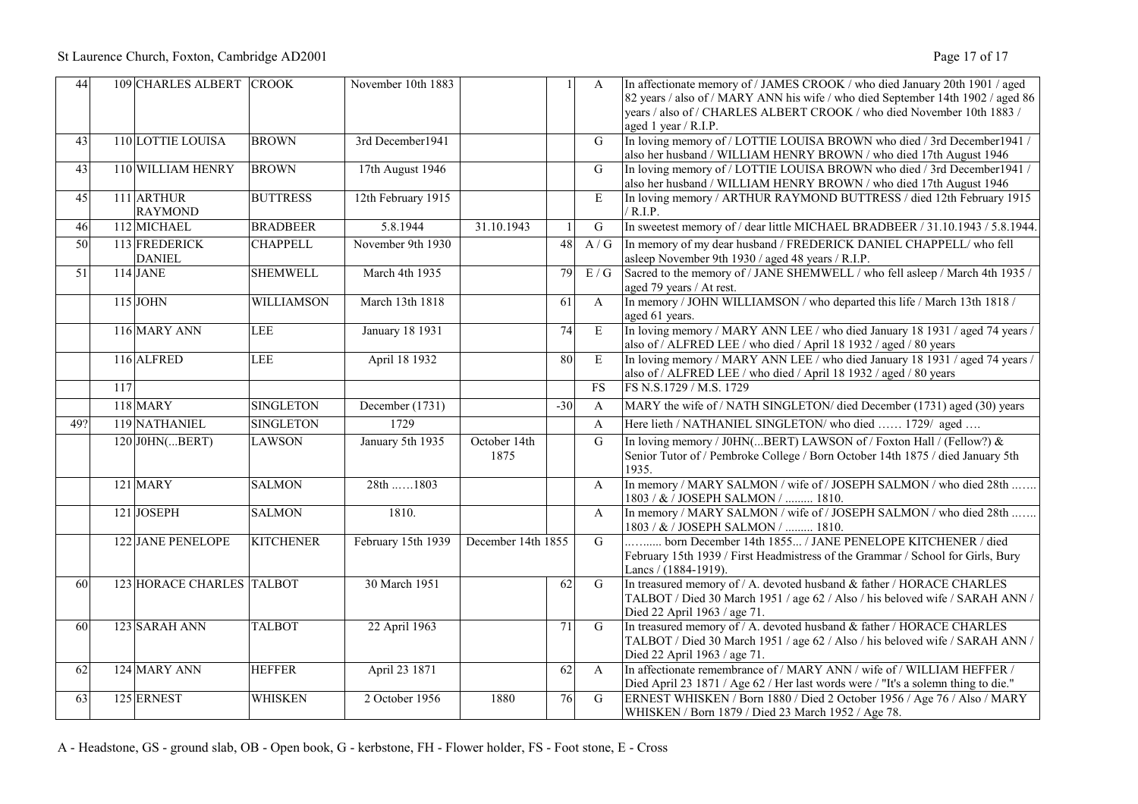| 44  |                  | 109 CHARLES ALBERT CROOK       |                   | November 10th 1883     |                      |       | $\mathbf{A}$     | In affectionate memory of / JAMES CROOK / who died January 20th 1901 / aged<br>82 years / also of / MARY ANN his wife / who died September 14th 1902 / aged 86<br>years / also of / CHARLES ALBERT CROOK / who died November 10th 1883 /<br>aged 1 year / R.I.P. |
|-----|------------------|--------------------------------|-------------------|------------------------|----------------------|-------|------------------|------------------------------------------------------------------------------------------------------------------------------------------------------------------------------------------------------------------------------------------------------------------|
| 43  |                  | 110 LOTTIE LOUISA              | <b>BROWN</b>      | 3rd December1941       |                      |       | G                | In loving memory of / LOTTIE LOUISA BROWN who died / 3rd December1941 /<br>also her husband / WILLIAM HENRY BROWN / who died 17th August 1946                                                                                                                    |
| 43  |                  | 110 WILLIAM HENRY              | <b>BROWN</b>      | 17th August 1946       |                      |       | $\mathsf{G}$     | In loving memory of / LOTTIE LOUISA BROWN who died / 3rd December1941 /<br>also her husband / WILLIAM HENRY BROWN / who died 17th August 1946                                                                                                                    |
| 45  |                  | 111 ARTHUR<br><b>RAYMOND</b>   | <b>BUTTRESS</b>   | 12th February 1915     |                      |       | $\mathbf E$      | In loving memory / ARTHUR RAYMOND BUTTRESS / died 12th February 1915<br>R.I.P.                                                                                                                                                                                   |
| 46  |                  | 112 MICHAEL                    | <b>BRADBEER</b>   | 5.8.1944               | 31.10.1943           |       | G                | In sweetest memory of / dear little MICHAEL BRADBEER / 31.10.1943 / 5.8.1944.                                                                                                                                                                                    |
| 50  |                  | 113 FREDERICK<br><b>DANIEL</b> | <b>CHAPPELL</b>   | November 9th 1930      |                      | 48    | $A/\overline{G}$ | In memory of my dear husband / FREDERICK DANIEL CHAPPELL/ who fell<br>asleep November 9th 1930 / aged 48 years / R.I.P.                                                                                                                                          |
| 51  |                  | $114$ JANE                     | <b>SHEMWELL</b>   | March 4th 1935         |                      | 79    | E/G              | Sacred to the memory of / JANE SHEMWELL / who fell asleep / March 4th 1935 /<br>aged 79 years / At rest.                                                                                                                                                         |
|     |                  | 115 JOHN                       | <b>WILLIAMSON</b> | March 13th 1818        |                      | 61    | A                | In memory / JOHN WILLIAMSON / who departed this life / March 13th 1818 /<br>aged 61 years.                                                                                                                                                                       |
|     |                  | 116 MARY ANN                   | <b>LEE</b>        | <b>January 18 1931</b> |                      | 74    | E                | In loving memory / MARY ANN LEE / who died January 18 1931 / aged 74 years /<br>also of / ALFRED LEE / who died / April 18 1932 / aged / 80 years                                                                                                                |
|     |                  | 116 ALFRED                     | <b>LEE</b>        | April 18 1932          |                      | 80    | $\overline{E}$   | In loving memory / MARY ANN LEE / who died January 18 1931 / aged 74 years /<br>also of / ALFRED LEE / who died / April 18 1932 / aged / 80 years                                                                                                                |
|     | $\overline{117}$ |                                |                   |                        |                      |       | FS               | FS N.S.1729 / M.S. 1729                                                                                                                                                                                                                                          |
|     |                  | 118 MARY                       | <b>SINGLETON</b>  | December (1731)        |                      | $-30$ | A                | MARY the wife of / NATH SINGLETON/ died December (1731) aged (30) years                                                                                                                                                                                          |
| 49? |                  | 119 NATHANIEL                  | <b>SINGLETON</b>  | 1729                   |                      |       | A                | Here lieth / NATHANIEL SINGLETON/ who died  1729/ aged                                                                                                                                                                                                           |
|     |                  | 120 J0HN(BERT)                 | <b>LAWSON</b>     | January 5th 1935       | October 14th<br>1875 |       | G                | In loving memory / J0HN(BERT) LAWSON of / Foxton Hall / (Fellow?) $\&$<br>Senior Tutor of / Pembroke College / Born October 14th 1875 / died January 5th<br>1935.                                                                                                |
|     |                  | 121 MARY                       | <b>SALMON</b>     | 28th 1803              |                      |       | $\mathbf{A}$     | In memory / MARY SALMON / wife of / JOSEPH SALMON / who died 28th<br>1803 / & / JOSEPH SALMON /  1810.                                                                                                                                                           |
|     |                  | 121 JOSEPH                     | <b>SALMON</b>     | 1810.                  |                      |       | $\mathbf{A}$     | In memory / MARY SALMON / wife of / JOSEPH SALMON / who died 28th<br>1803 / & / JOSEPH SALMON /  1810.                                                                                                                                                           |
|     |                  | <b>122 JANE PENELOPE</b>       | <b>KITCHENER</b>  | February 15th 1939     | December 14th 1855   |       | G                | born December 14th 1855 / JANE PENELOPE KITCHENER / died<br>February 15th 1939 / First Headmistress of the Grammar / School for Girls, Bury<br>Lancs / (1884-1919).                                                                                              |
| 60  |                  | 123 HORACE CHARLES TALBOT      |                   | 30 March 1951          |                      | 62    | G                | In treasured memory of / A. devoted husband & father / HORACE CHARLES<br>TALBOT / Died 30 March 1951 / age 62 / Also / his beloved wife / SARAH ANN /<br>Died 22 April 1963 / age 71.                                                                            |
| 60  |                  | 123 SARAH ANN                  | <b>TALBOT</b>     | 22 April 1963          |                      | 71    | G                | In treasured memory of / A. devoted husband & father / HORACE CHARLES<br>TALBOT / Died 30 March 1951 / age 62 / Also / his beloved wife / SARAH ANN /<br>Died 22 April 1963 / age 71.                                                                            |
| 62  |                  | 124 MARY ANN                   | <b>HEFFER</b>     | April 23 1871          |                      | 62    | $\mathbf{A}$     | In affectionate remembrance of / MARY ANN / wife of / WILLIAM HEFFER /<br>Died April 23 1871 / Age 62 / Her last words were / "It's a solemn thing to die."                                                                                                      |
| 63  |                  | 125 ERNEST                     | <b>WHISKEN</b>    | 2 October 1956         | 1880                 | 76    | $\overline{G}$   | ERNEST WHISKEN / Born 1880 / Died 2 October 1956 / Age 76 / Also / MARY<br>WHISKEN / Born 1879 / Died 23 March 1952 / Age 78.                                                                                                                                    |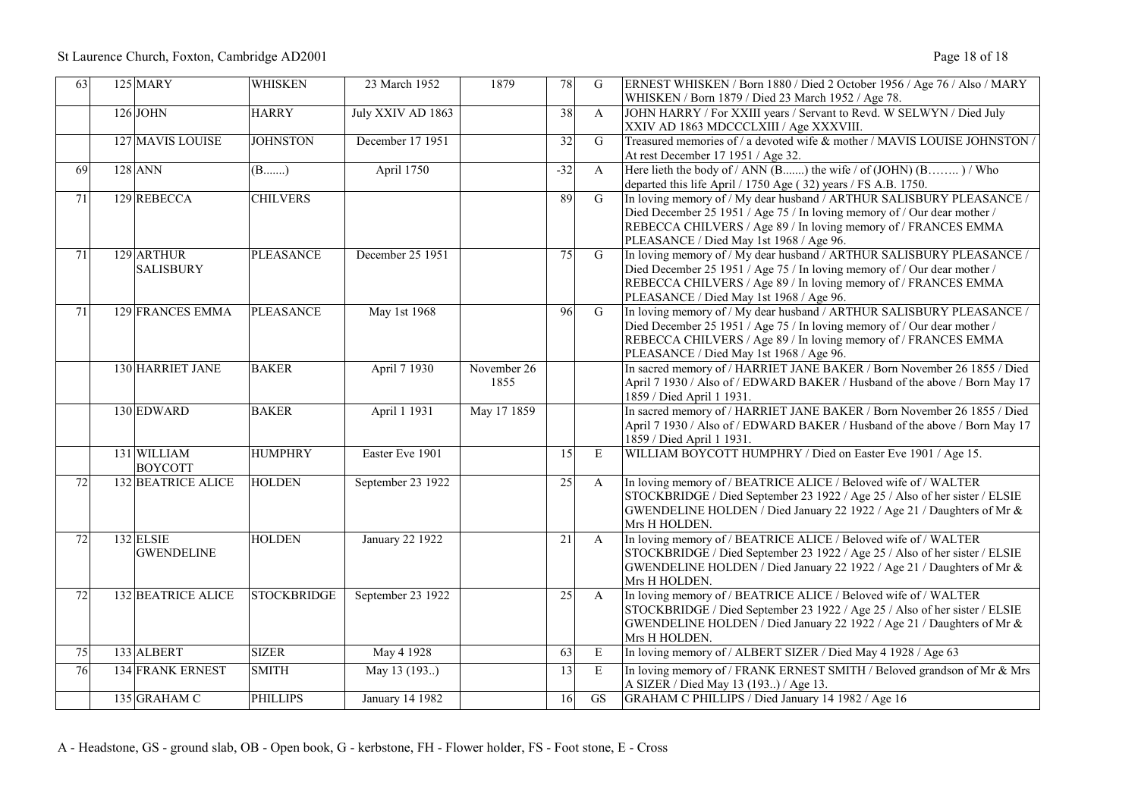| 63 | 125 MARY                         | <b>WHISKEN</b>     | 23 March 1952          | 1879                | 78              | G            | ERNEST WHISKEN / Born 1880 / Died 2 October 1956 / Age 76 / Also / MARY<br>WHISKEN / Born 1879 / Died 23 March 1952 / Age 78.                                                                                                                                 |
|----|----------------------------------|--------------------|------------------------|---------------------|-----------------|--------------|---------------------------------------------------------------------------------------------------------------------------------------------------------------------------------------------------------------------------------------------------------------|
|    | $126$ JOHN                       | <b>HARRY</b>       | July XXIV AD 1863      |                     | $\overline{38}$ | $\mathbf{A}$ | JOHN HARRY / For XXIII years / Servant to Revd. W SELWYN / Died July<br>XXIV AD 1863 MDCCCLXIII / Age XXXVIII.                                                                                                                                                |
|    | 127 MAVIS LOUISE                 | <b>JOHNSTON</b>    | December 17 1951       |                     | 32              | G            | Treasured memories of / a devoted wife & mother / MAVIS LOUISE JOHNSTON /<br>At rest December 17 1951 / Age 32.                                                                                                                                               |
| 69 | $128$ ANN                        | (B)                | April 1750             |                     | $-32$           | $\mathbf{A}$ | Here lieth the body of / ANN $(B_{\dots}, B_{\dots})$ the wife / of (JOHN) $(B_{\dots}, B_{\dots})$ / Who<br>departed this life April / 1750 Age (32) years / FS A.B. 1750.                                                                                   |
| 71 | 129 REBECCA                      | <b>CHILVERS</b>    |                        |                     | 89              | G            | In loving memory of / My dear husband / ARTHUR SALISBURY PLEASANCE /<br>Died December 25 1951 / Age 75 / In loving memory of / Our dear mother /<br>REBECCA CHILVERS / Age 89 / In loving memory of / FRANCES EMMA<br>PLEASANCE / Died May 1st 1968 / Age 96. |
| 71 | 129 ARTHUR<br><b>SALISBURY</b>   | <b>PLEASANCE</b>   | December 25 1951       |                     | 75              | G            | In loving memory of / My dear husband / ARTHUR SALISBURY PLEASANCE /<br>Died December 25 1951 / Age 75 / In loving memory of / Our dear mother /<br>REBECCA CHILVERS / Age 89 / In loving memory of / FRANCES EMMA<br>PLEASANCE / Died May 1st 1968 / Age 96. |
| 71 | 129 FRANCES EMMA                 | <b>PLEASANCE</b>   | May 1st 1968           |                     | 96              | G            | In loving memory of / My dear husband / ARTHUR SALISBURY PLEASANCE /<br>Died December 25 1951 / Age 75 / In loving memory of / Our dear mother /<br>REBECCA CHILVERS / Age 89 / In loving memory of / FRANCES EMMA<br>PLEASANCE / Died May 1st 1968 / Age 96. |
|    | 130 HARRIET JANE                 | <b>BAKER</b>       | April 7 1930           | November 26<br>1855 |                 |              | In sacred memory of / HARRIET JANE BAKER / Born November 26 1855 / Died<br>April 7 1930 / Also of / EDWARD BAKER / Husband of the above / Born May 17<br>1859 / Died April 1 1931.                                                                            |
|    | 130 EDWARD                       | <b>BAKER</b>       | April 1 1931           | May 17 1859         |                 |              | In sacred memory of / HARRIET JANE BAKER / Born November 26 1855 / Died<br>April 7 1930 / Also of / EDWARD BAKER / Husband of the above / Born May 17<br>1859 / Died April 1 1931.                                                                            |
|    | 131 WILLIAM<br><b>BOYCOTT</b>    | <b>HUMPHRY</b>     | Easter Eve 1901        |                     | $\overline{15}$ | E            | WILLIAM BOYCOTT HUMPHRY / Died on Easter Eve 1901 / Age 15.                                                                                                                                                                                                   |
| 72 | <b>132 BEATRICE ALICE</b>        | <b>HOLDEN</b>      | September 23 1922      |                     | 25              | $\mathbf{A}$ | In loving memory of / BEATRICE ALICE / Beloved wife of / WALTER<br>STOCKBRIDGE / Died September 23 1922 / Age 25 / Also of her sister / ELSIE<br>GWENDELINE HOLDEN / Died January 22 1922 / Age 21 / Daughters of Mr &<br>Mrs H HOLDEN.                       |
| 72 | $132$ ELSIE<br><b>GWENDELINE</b> | <b>HOLDEN</b>      | <b>January 22 1922</b> |                     | 21              | $\mathsf{A}$ | In loving memory of / BEATRICE ALICE / Beloved wife of / WALTER<br>STOCKBRIDGE / Died September 23 1922 / Age 25 / Also of her sister / ELSIE<br>GWENDELINE HOLDEN / Died January 22 1922 / Age 21 / Daughters of Mr &<br>Mrs H HOLDEN.                       |
| 72 | <b>132 BEATRICE ALICE</b>        | <b>STOCKBRIDGE</b> | September 23 1922      |                     | $\overline{25}$ | $\mathbf{A}$ | In loving memory of / BEATRICE ALICE / Beloved wife of / WALTER<br>STOCKBRIDGE / Died September 23 1922 / Age 25 / Also of her sister / ELSIE<br>GWENDELINE HOLDEN / Died January 22 1922 / Age 21 / Daughters of Mr &<br>Mrs H HOLDEN.                       |
| 75 | 133 ALBERT                       | <b>SIZER</b>       | May 4 1928             |                     | 63              | E            | In loving memory of / ALBERT SIZER / Died May 4 1928 / Age 63                                                                                                                                                                                                 |
| 76 | <b>134 FRANK ERNEST</b>          | <b>SMITH</b>       | May 13 (193.)          |                     | $\overline{13}$ | E            | In loving memory of / FRANK ERNEST SMITH / Beloved grandson of Mr & Mrs<br>A SIZER / Died May 13 (193) / Age 13.                                                                                                                                              |
|    | 135 GRAHAM C                     | <b>PHILLIPS</b>    | January 14 1982        |                     | 16              | <b>GS</b>    | GRAHAM C PHILLIPS / Died January 14 1982 / Age 16                                                                                                                                                                                                             |